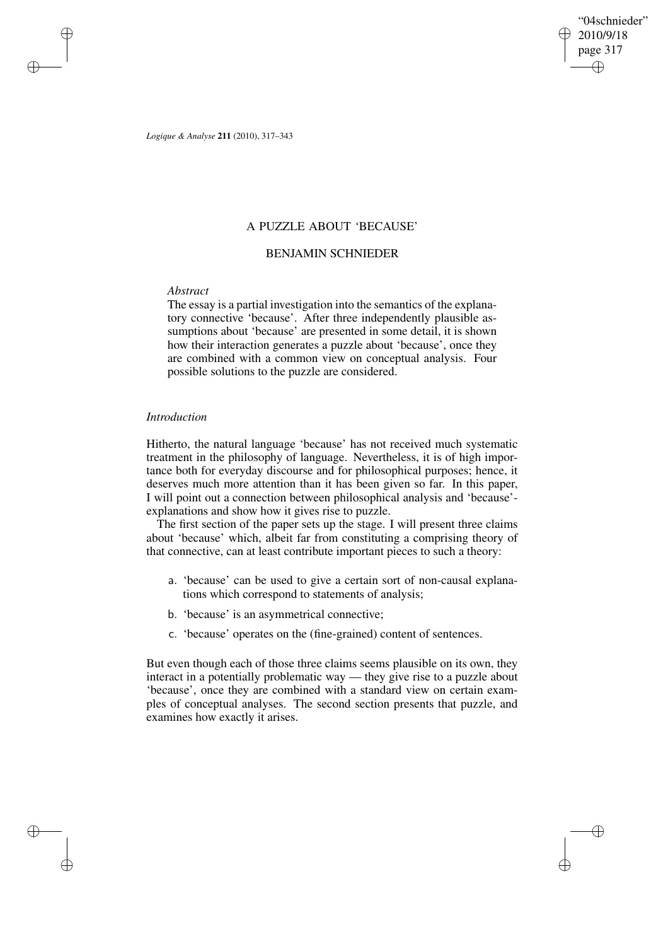"04schnieder" 2010/9/18 page 317 ✐ ✐

✐

✐

*Logique & Analyse* **211** (2010), 317–343

# A PUZZLE ABOUT 'BECAUSE'

# BENJAMIN SCHNIEDER

# *Abstract*

✐

✐

✐

✐

The essay is a partial investigation into the semantics of the explanatory connective 'because'. After three independently plausible assumptions about 'because' are presented in some detail, it is shown how their interaction generates a puzzle about 'because', once they are combined with a common view on conceptual analysis. Four possible solutions to the puzzle are considered.

# *Introduction*

Hitherto, the natural language 'because' has not received much systematic treatment in the philosophy of language. Nevertheless, it is of high importance both for everyday discourse and for philosophical purposes; hence, it deserves much more attention than it has been given so far. In this paper, I will point out a connection between philosophical analysis and 'because' explanations and show how it gives rise to puzzle.

The first section of the paper sets up the stage. I will present three claims about 'because' which, albeit far from constituting a comprising theory of that connective, can at least contribute important pieces to such a theory:

- a. 'because' can be used to give a certain sort of non-causal explanations which correspond to statements of analysis;
- b. 'because' is an asymmetrical connective;
- c. 'because' operates on the (fine-grained) content of sentences.

But even though each of those three claims seems plausible on its own, they interact in a potentially problematic way — they give rise to a puzzle about 'because', once they are combined with a standard view on certain examples of conceptual analyses. The second section presents that puzzle, and examines how exactly it arises.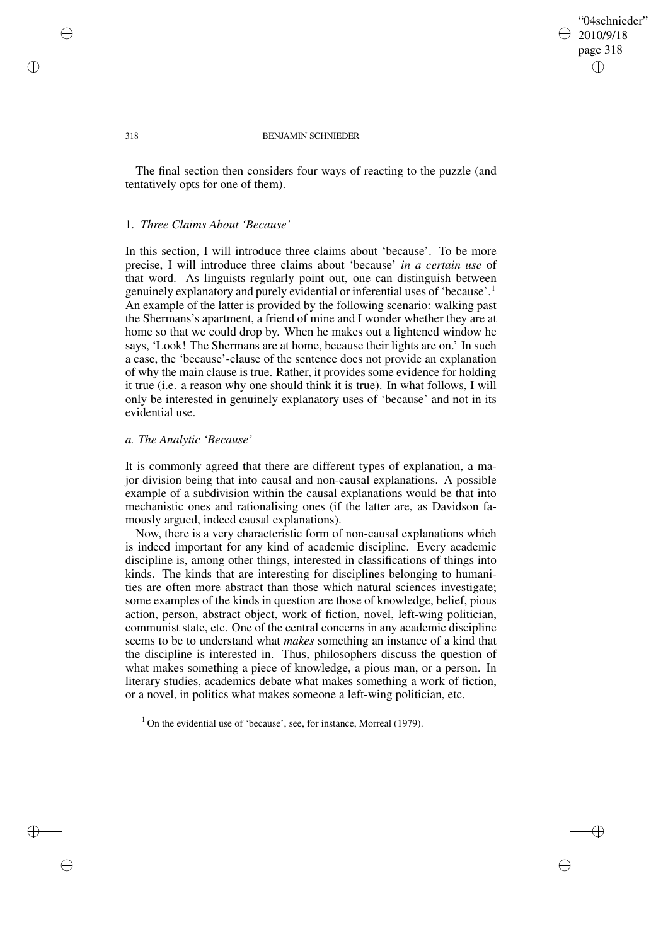## "04schnieder" 2010/9/18 page 318 ✐ ✐

✐

✐

#### 318 BENJAMIN SCHNIEDER

The final section then considers four ways of reacting to the puzzle (and tentatively opts for one of them).

## 1. *Three Claims About 'Because'*

In this section, I will introduce three claims about 'because'. To be more precise, I will introduce three claims about 'because' *in a certain use* of that word. As linguists regularly point out, one can distinguish between genuinely explanatory and purely evidential or inferential uses of 'because'.<sup>1</sup> An example of the latter is provided by the following scenario: walking past the Shermans's apartment, a friend of mine and I wonder whether they are at home so that we could drop by. When he makes out a lightened window he says, 'Look! The Shermans are at home, because their lights are on.' In such a case, the 'because'-clause of the sentence does not provide an explanation of why the main clause is true. Rather, it provides some evidence for holding it true (i.e. a reason why one should think it is true). In what follows, I will only be interested in genuinely explanatory uses of 'because' and not in its evidential use.

## *a. The Analytic 'Because'*

It is commonly agreed that there are different types of explanation, a major division being that into causal and non-causal explanations. A possible example of a subdivision within the causal explanations would be that into mechanistic ones and rationalising ones (if the latter are, as Davidson famously argued, indeed causal explanations).

Now, there is a very characteristic form of non-causal explanations which is indeed important for any kind of academic discipline. Every academic discipline is, among other things, interested in classifications of things into kinds. The kinds that are interesting for disciplines belonging to humanities are often more abstract than those which natural sciences investigate; some examples of the kinds in question are those of knowledge, belief, pious action, person, abstract object, work of fiction, novel, left-wing politician, communist state, etc. One of the central concerns in any academic discipline seems to be to understand what *makes* something an instance of a kind that the discipline is interested in. Thus, philosophers discuss the question of what makes something a piece of knowledge, a pious man, or a person. In literary studies, academics debate what makes something a work of fiction, or a novel, in politics what makes someone a left-wing politician, etc.

 $1$  On the evidential use of 'because', see, for instance, Morreal (1979).

✐

✐

✐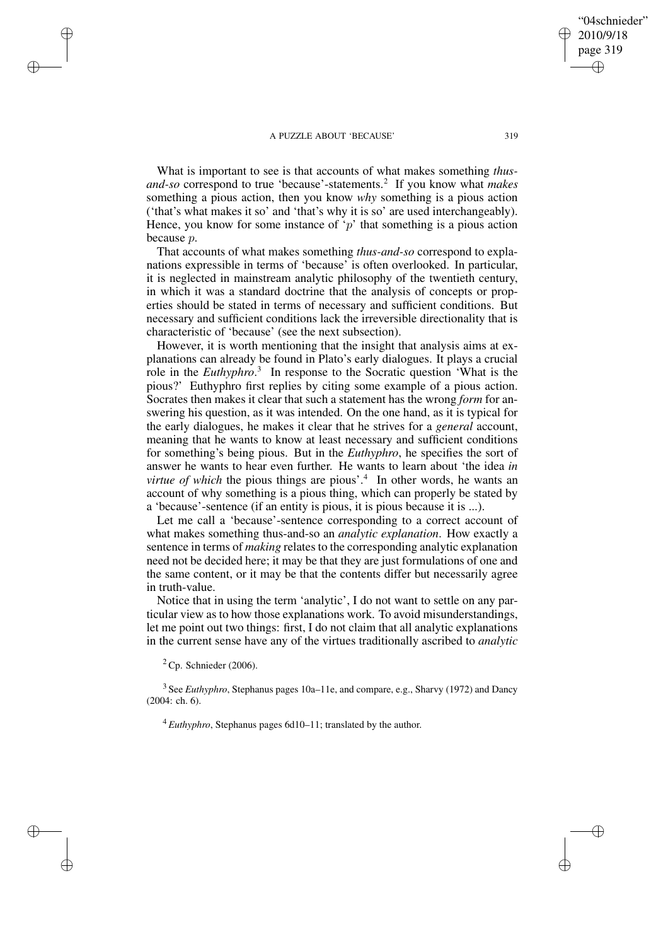What is important to see is that accounts of what makes something *thusand-so* correspond to true 'because'-statements.<sup>2</sup> If you know what *makes* something a pious action, then you know *why* something is a pious action ('that's what makes it so' and 'that's why it is so' are used interchangeably). Hence, you know for some instance of 'p' that something is a pious action because p.

That accounts of what makes something *thus-and-so* correspond to explanations expressible in terms of 'because' is often overlooked. In particular, it is neglected in mainstream analytic philosophy of the twentieth century, in which it was a standard doctrine that the analysis of concepts or properties should be stated in terms of necessary and sufficient conditions. But necessary and sufficient conditions lack the irreversible directionality that is characteristic of 'because' (see the next subsection).

However, it is worth mentioning that the insight that analysis aims at explanations can already be found in Plato's early dialogues. It plays a crucial role in the *Euthyphro*. 3 In response to the Socratic question 'What is the pious?' Euthyphro first replies by citing some example of a pious action. Socrates then makes it clear that such a statement has the wrong *form* for answering his question, as it was intended. On the one hand, as it is typical for the early dialogues, he makes it clear that he strives for a *general* account, meaning that he wants to know at least necessary and sufficient conditions for something's being pious. But in the *Euthyphro*, he specifies the sort of answer he wants to hear even further. He wants to learn about 'the idea *in virtue of which* the pious things are pious'.<sup>4</sup> In other words, he wants an account of why something is a pious thing, which can properly be stated by a 'because'-sentence (if an entity is pious, it is pious because it is ...).

Let me call a 'because'-sentence corresponding to a correct account of what makes something thus-and-so an *analytic explanation*. How exactly a sentence in terms of *making* relates to the corresponding analytic explanation need not be decided here; it may be that they are just formulations of one and the same content, or it may be that the contents differ but necessarily agree in truth-value.

Notice that in using the term 'analytic', I do not want to settle on any particular view as to how those explanations work. To avoid misunderstandings, let me point out two things: first, I do not claim that all analytic explanations in the current sense have any of the virtues traditionally ascribed to *analytic*

 ${}^{2}$  Cp. Schnieder (2006).

✐

✐

✐

✐

3 See *Euthyphro*, Stephanus pages 10a–11e, and compare, e.g., Sharvy (1972) and Dancy (2004: ch. 6).

<sup>4</sup> *Euthyphro*, Stephanus pages 6d10–11; translated by the author.

"04schnieder" 2010/9/18 page 319

✐

✐

✐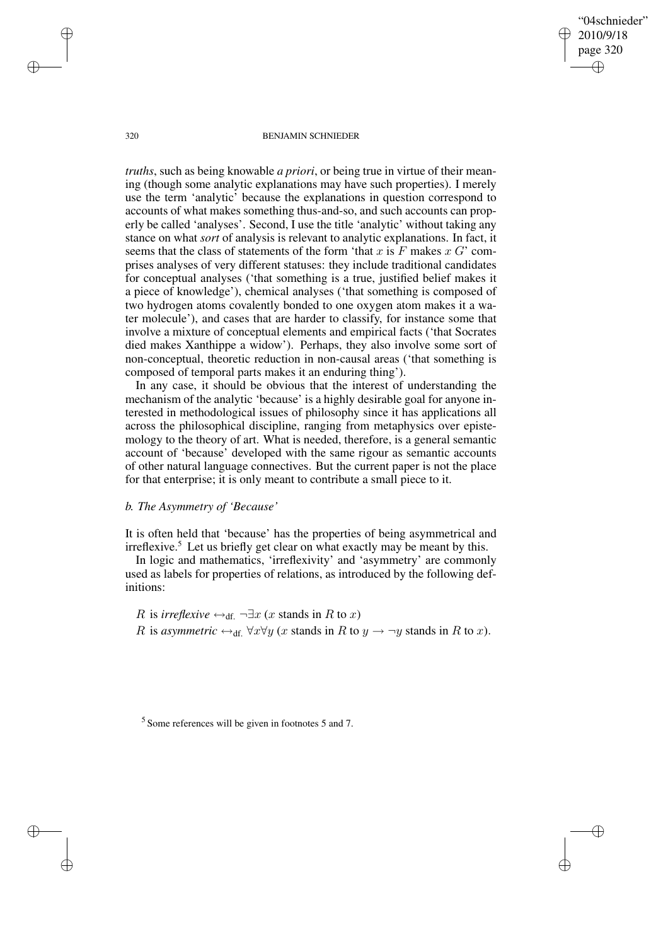"04schnieder" 2010/9/18 page 320 ✐ ✐

✐

✐

#### 320 BENJAMIN SCHNIEDER

*truths*, such as being knowable *a priori*, or being true in virtue of their meaning (though some analytic explanations may have such properties). I merely use the term 'analytic' because the explanations in question correspond to accounts of what makes something thus-and-so, and such accounts can properly be called 'analyses'. Second, I use the title 'analytic' without taking any stance on what *sort* of analysis is relevant to analytic explanations. In fact, it seems that the class of statements of the form 'that x is  $F$  makes  $x G'$  comprises analyses of very different statuses: they include traditional candidates for conceptual analyses ('that something is a true, justified belief makes it a piece of knowledge'), chemical analyses ('that something is composed of two hydrogen atoms covalently bonded to one oxygen atom makes it a water molecule'), and cases that are harder to classify, for instance some that involve a mixture of conceptual elements and empirical facts ('that Socrates died makes Xanthippe a widow'). Perhaps, they also involve some sort of non-conceptual, theoretic reduction in non-causal areas ('that something is composed of temporal parts makes it an enduring thing').

In any case, it should be obvious that the interest of understanding the mechanism of the analytic 'because' is a highly desirable goal for anyone interested in methodological issues of philosophy since it has applications all across the philosophical discipline, ranging from metaphysics over epistemology to the theory of art. What is needed, therefore, is a general semantic account of 'because' developed with the same rigour as semantic accounts of other natural language connectives. But the current paper is not the place for that enterprise; it is only meant to contribute a small piece to it.

## *b. The Asymmetry of 'Because'*

It is often held that 'because' has the properties of being asymmetrical and  $irreflexive.<sup>5</sup>$  Let us briefly get clear on what exactly may be meant by this.

In logic and mathematics, 'irreflexivity' and 'asymmetry' are commonly used as labels for properties of relations, as introduced by the following definitions:

R is *irreflexive*  $\leftrightarrow_{df} \neg \exists x \ (x \text{ stands in } R \text{ to } x)$ R is *asymmetric*  $\leftrightarrow$ <sub>df.</sub>  $\forall x \forall y$  (*x* stands in R to *y*  $\rightarrow \neg y$  stands in R to *x*).

<sup>5</sup> Some references will be given in footnotes 5 and 7.

✐

✐

✐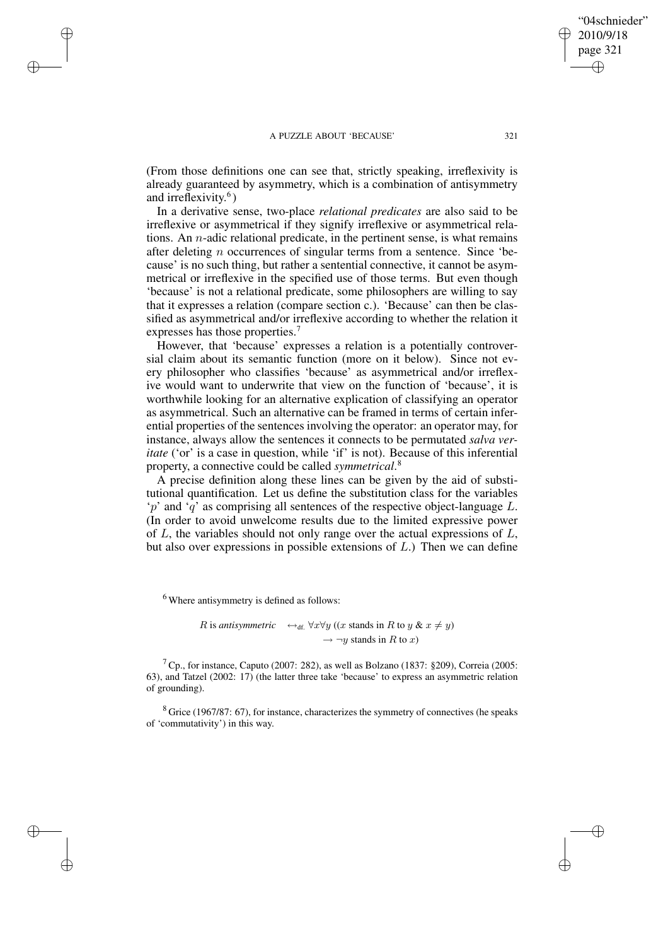✐

✐

✐

✐

(From those definitions one can see that, strictly speaking, irreflexivity is already guaranteed by asymmetry, which is a combination of antisymmetry and irreflexivity. 6 )

In a derivative sense, two-place *relational predicates* are also said to be irreflexive or asymmetrical if they signify irreflexive or asymmetrical relations. An  $n$ -adic relational predicate, in the pertinent sense, is what remains after deleting n occurrences of singular terms from a sentence. Since 'because' is no such thing, but rather a sentential connective, it cannot be asymmetrical or irreflexive in the specified use of those terms. But even though 'because' is not a relational predicate, some philosophers are willing to say that it expresses a relation (compare section c.). 'Because' can then be classified as asymmetrical and/or irreflexive according to whether the relation it expresses has those properties.<sup>7</sup>

However, that 'because' expresses a relation is a potentially controversial claim about its semantic function (more on it below). Since not every philosopher who classifies 'because' as asymmetrical and/or irreflexive would want to underwrite that view on the function of 'because', it is worthwhile looking for an alternative explication of classifying an operator as asymmetrical. Such an alternative can be framed in terms of certain inferential properties of the sentences involving the operator: an operator may, for instance, always allow the sentences it connects to be permutated *salva veritate* ('or' is a case in question, while 'if' is not). Because of this inferential property, a connective could be called *symmetrical*. 8

A precise definition along these lines can be given by the aid of substitutional quantification. Let us define the substitution class for the variables  $\gamma$  and  $\gamma$  as comprising all sentences of the respective object-language L. (In order to avoid unwelcome results due to the limited expressive power of  $L$ , the variables should not only range over the actual expressions of  $L$ , but also over expressions in possible extensions of  $L$ .) Then we can define

<sup>6</sup> Where antisymmetry is defined as follows:

*R* is *antisymmetric*  $\leftrightarrow$ <sub>df.</sub>  $\forall x \forall y$  ((*x* stands in *R* to *y* & *x*  $\neq$  *y*)  $\rightarrow \neg y$  stands in R to x)

 $<sup>7</sup>$  Cp., for instance, Caputo (2007: 282), as well as Bolzano (1837: §209), Correia (2005:</sup> 63), and Tatzel (2002: 17) (the latter three take 'because' to express an asymmetric relation of grounding).

 $8$  Grice (1967/87: 67), for instance, characterizes the symmetry of connectives (he speaks of 'commutativity') in this way.

"04schnieder" 2010/9/18 page 321

✐

✐

✐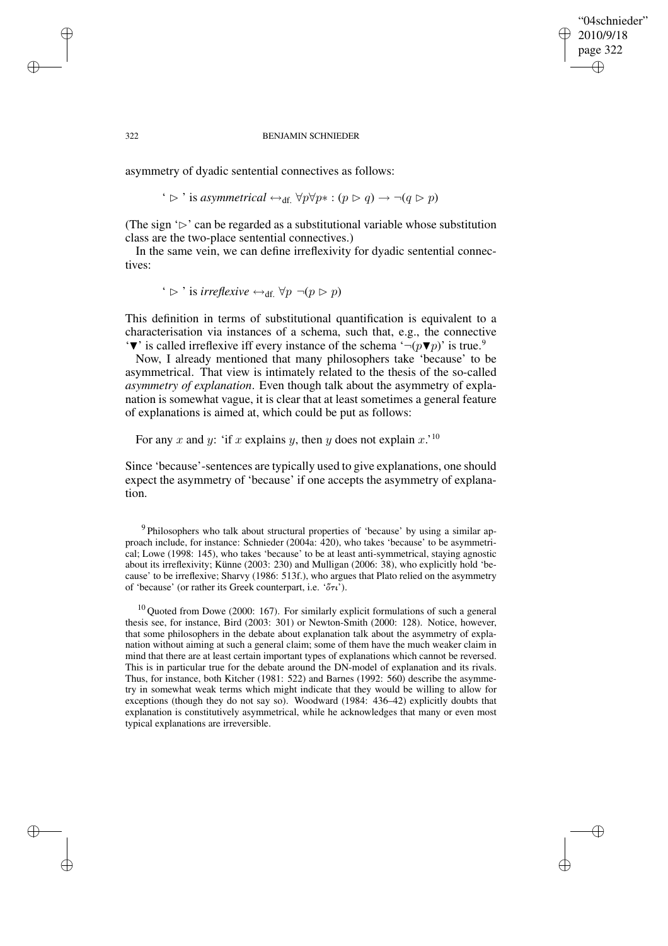## "04schnieder" 2010/9/18 page 322 ✐ ✐

✐

✐

#### 322 BENJAMIN SCHNIEDER

asymmetry of dyadic sentential connectives as follows:

✐

✐

✐

✐

' 
$$
\triangleright
$$
 ' is *asymmetrical* ↔<sub>df.</sub> ∀*p*∀*p*∗ : (*p*  $\triangleright$  *q*) → ¬(*q*  $\triangleright$  *p*)

(The sign  $\mathcal{D}'$  can be regarded as a substitutional variable whose substitution class are the two-place sentential connectives.)

In the same vein, we can define irreflexivity for dyadic sentential connectives:

 $\rightarrow$  is *irreflexive*  $\leftrightarrow$ <sub>df</sub>  $\forall p \neg (p \triangleright p)$ 

This definition in terms of substitutional quantification is equivalent to a characterisation via instances of a schema, such that, e.g., the connective  $\mathbf{v}'$  is called irreflexive iff every instance of the schema  $\neg(p\blacktriangledown p)$  is true.<sup>9</sup>

Now, I already mentioned that many philosophers take 'because' to be asymmetrical. That view is intimately related to the thesis of the so-called *asymmetry of explanation*. Even though talk about the asymmetry of explanation is somewhat vague, it is clear that at least sometimes a general feature of explanations is aimed at, which could be put as follows:

For any x and y: 'if x explains y, then y does not explain  $x$ .'<sup>10</sup>

Since 'because'-sentences are typically used to give explanations, one should expect the asymmetry of 'because' if one accepts the asymmetry of explanation.

<sup>9</sup> Philosophers who talk about structural properties of 'because' by using a similar approach include, for instance: Schnieder (2004a: 420), who takes 'because' to be asymmetrical; Lowe (1998: 145), who takes 'because' to be at least anti-symmetrical, staying agnostic about its irreflexivity; Künne (2003: 230) and Mulligan (2006: 38), who explicitly hold 'because' to be irreflexive; Sharvy (1986: 513f.), who argues that Plato relied on the asymmetry of 'because' (or rather its Greek counterpart, i.e. ' $\sigma \tau \nu$ ').

 $10$  Quoted from Dowe (2000: 167). For similarly explicit formulations of such a general thesis see, for instance, Bird (2003: 301) or Newton-Smith (2000: 128). Notice, however, that some philosophers in the debate about explanation talk about the asymmetry of explanation without aiming at such a general claim; some of them have the much weaker claim in mind that there are at least certain important types of explanations which cannot be reversed. This is in particular true for the debate around the DN-model of explanation and its rivals. Thus, for instance, both Kitcher (1981: 522) and Barnes (1992: 560) describe the asymmetry in somewhat weak terms which might indicate that they would be willing to allow for exceptions (though they do not say so). Woodward (1984: 436–42) explicitly doubts that explanation is constitutively asymmetrical, while he acknowledges that many or even most typical explanations are irreversible.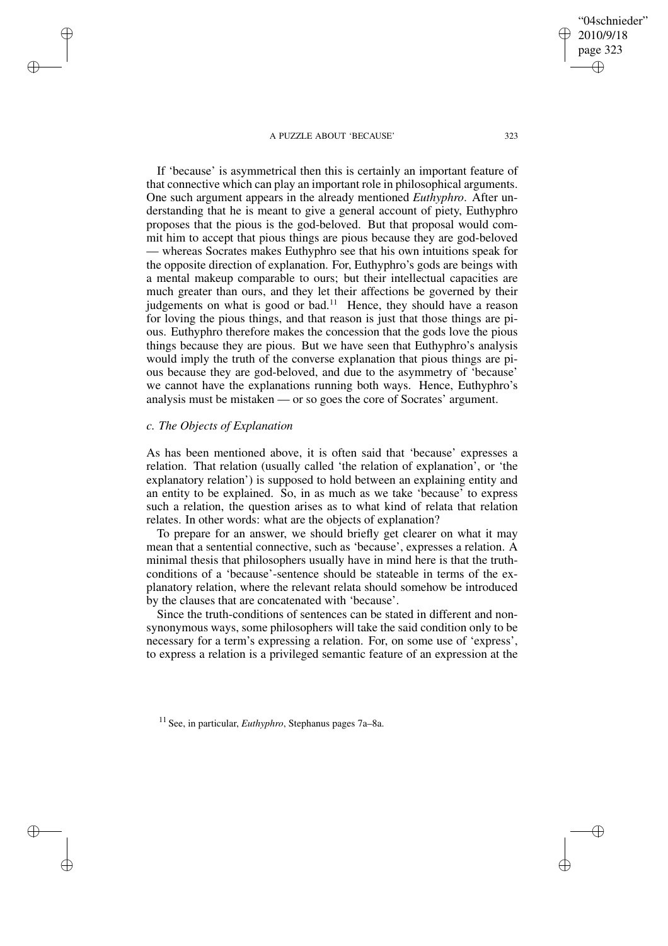If 'because' is asymmetrical then this is certainly an important feature of that connective which can play an important role in philosophical arguments. One such argument appears in the already mentioned *Euthyphro*. After understanding that he is meant to give a general account of piety, Euthyphro proposes that the pious is the god-beloved. But that proposal would commit him to accept that pious things are pious because they are god-beloved — whereas Socrates makes Euthyphro see that his own intuitions speak for the opposite direction of explanation. For, Euthyphro's gods are beings with a mental makeup comparable to ours; but their intellectual capacities are much greater than ours, and they let their affections be governed by their judgements on what is good or bad.<sup>11</sup> Hence, they should have a reason for loving the pious things, and that reason is just that those things are pious. Euthyphro therefore makes the concession that the gods love the pious things because they are pious. But we have seen that Euthyphro's analysis would imply the truth of the converse explanation that pious things are pious because they are god-beloved, and due to the asymmetry of 'because' we cannot have the explanations running both ways. Hence, Euthyphro's analysis must be mistaken — or so goes the core of Socrates' argument.

# *c. The Objects of Explanation*

✐

✐

✐

✐

As has been mentioned above, it is often said that 'because' expresses a relation. That relation (usually called 'the relation of explanation', or 'the explanatory relation') is supposed to hold between an explaining entity and an entity to be explained. So, in as much as we take 'because' to express such a relation, the question arises as to what kind of relata that relation relates. In other words: what are the objects of explanation?

To prepare for an answer, we should briefly get clearer on what it may mean that a sentential connective, such as 'because', expresses a relation. A minimal thesis that philosophers usually have in mind here is that the truthconditions of a 'because'-sentence should be stateable in terms of the explanatory relation, where the relevant relata should somehow be introduced by the clauses that are concatenated with 'because'.

Since the truth-conditions of sentences can be stated in different and nonsynonymous ways, some philosophers will take the said condition only to be necessary for a term's expressing a relation. For, on some use of 'express', to express a relation is a privileged semantic feature of an expression at the

"04schnieder" 2010/9/18 page 323

✐

✐

✐

<sup>11</sup> See, in particular, *Euthyphro*, Stephanus pages 7a–8a.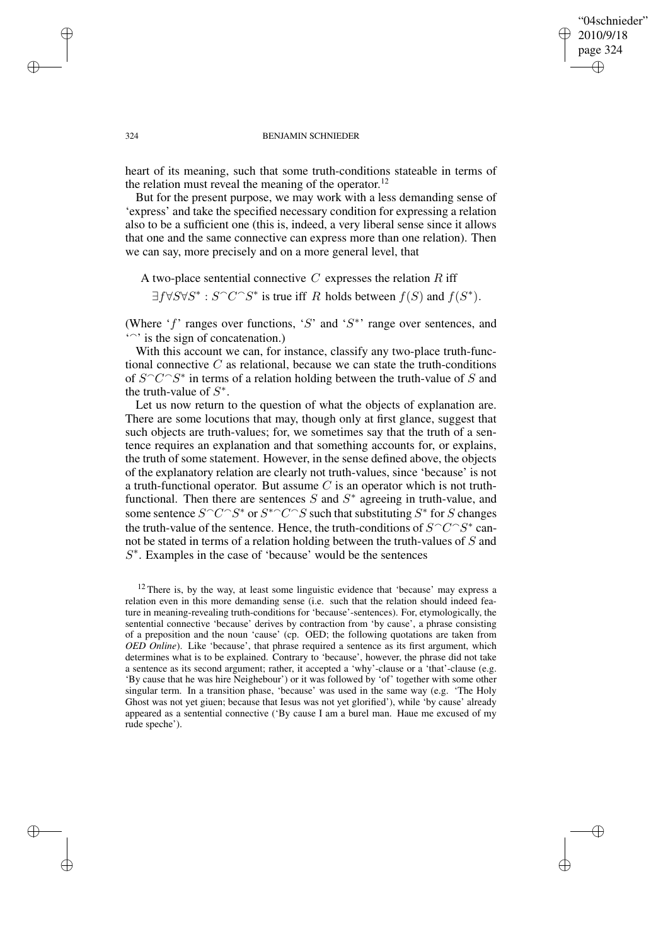## "04schnieder" 2010/9/18 page 324 ✐ ✐

✐

✐

#### 324 BENJAMIN SCHNIEDER

heart of its meaning, such that some truth-conditions stateable in terms of the relation must reveal the meaning of the operator.<sup>12</sup>

But for the present purpose, we may work with a less demanding sense of 'express' and take the specified necessary condition for expressing a relation also to be a sufficient one (this is, indeed, a very liberal sense since it allows that one and the same connective can express more than one relation). Then we can say, more precisely and on a more general level, that

# A two-place sentential connective  $C$  expresses the relation  $R$  iff

 $\exists f \forall S \forall S^* : S \cap C \cap S^*$  is true iff R holds between  $f(S)$  and  $f(S^*)$ .

(Where ' $f'$  ranges over functions, 'S' and 'S<sup>\*</sup>' range over sentences, and  $\sim$  is the sign of concatenation.)

With this account we can, for instance, classify any two-place truth-functional connective  $C$  as relational, because we can state the truth-conditions of  $S^{\frown}C^{\frown}S^*$  in terms of a relation holding between the truth-value of S and the truth-value of  $S^*$ .

Let us now return to the question of what the objects of explanation are. There are some locutions that may, though only at first glance, suggest that such objects are truth-values; for, we sometimes say that the truth of a sentence requires an explanation and that something accounts for, or explains, the truth of some statement. However, in the sense defined above, the objects of the explanatory relation are clearly not truth-values, since 'because' is not a truth-functional operator. But assume  $C$  is an operator which is not truthfunctional. Then there are sentences  $S$  and  $S^*$  agreeing in truth-value, and some sentence  $S^{\frown}C^{\frown}S^*$  or  $S^{\frown}C^{\frown}S$  such that substituting  $S^*$  for S changes the truth-value of the sentence. Hence, the truth-conditions of  $S^{\frown}C^{\frown}S^*$  cannot be stated in terms of a relation holding between the truth-values of S and  $S^*$ . Examples in the case of 'because' would be the sentences

✐

✐

✐

 $12$  There is, by the way, at least some linguistic evidence that 'because' may express a relation even in this more demanding sense (i.e. such that the relation should indeed feature in meaning-revealing truth-conditions for 'because'-sentences). For, etymologically, the sentential connective 'because' derives by contraction from 'by cause', a phrase consisting of a preposition and the noun 'cause' (cp. OED; the following quotations are taken from *OED Online*). Like 'because', that phrase required a sentence as its first argument, which determines what is to be explained. Contrary to 'because', however, the phrase did not take a sentence as its second argument; rather, it accepted a 'why'-clause or a 'that'-clause (e.g. 'By cause that he was hire Neighebour') or it was followed by 'of' together with some other singular term. In a transition phase, 'because' was used in the same way (e.g. 'The Holy Ghost was not yet giuen; because that Iesus was not yet glorified'), while 'by cause' already appeared as a sentential connective ('By cause I am a burel man. Haue me excused of my rude speche').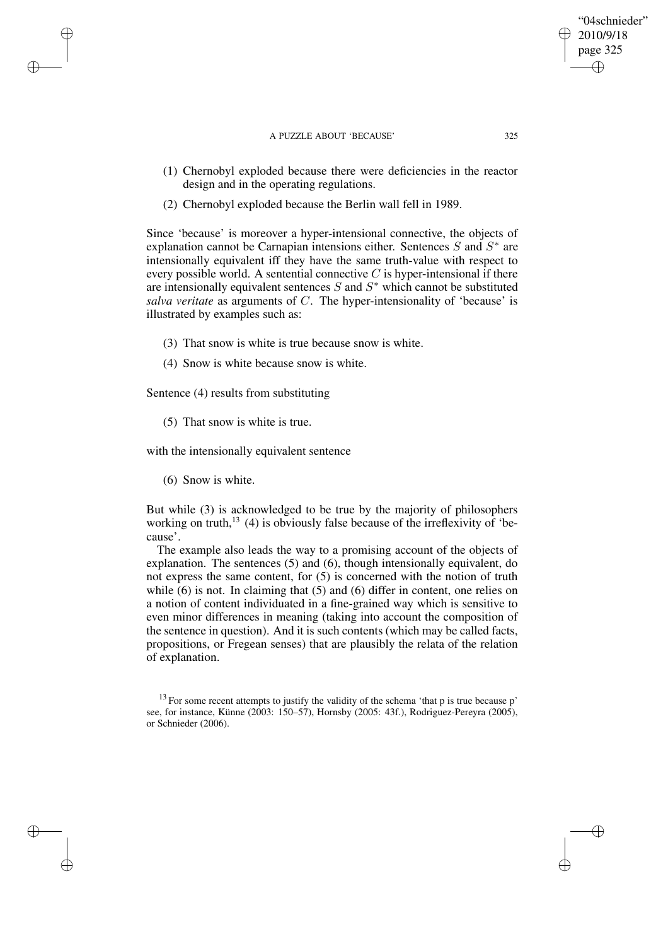- (1) Chernobyl exploded because there were deficiencies in the reactor design and in the operating regulations.
- (2) Chernobyl exploded because the Berlin wall fell in 1989.

Since 'because' is moreover a hyper-intensional connective, the objects of explanation cannot be Carnapian intensions either. Sentences  $S$  and  $S^*$  are intensionally equivalent iff they have the same truth-value with respect to every possible world. A sentential connective  $C$  is hyper-intensional if there are intensionally equivalent sentences  $S$  and  $S^*$  which cannot be substituted *salva veritate* as arguments of C. The hyper-intensionality of 'because' is illustrated by examples such as:

- (3) That snow is white is true because snow is white.
- (4) Snow is white because snow is white.

Sentence (4) results from substituting

(5) That snow is white is true.

with the intensionally equivalent sentence

(6) Snow is white.

✐

✐

✐

✐

But while (3) is acknowledged to be true by the majority of philosophers working on truth,<sup>13</sup> (4) is obviously false because of the irreflexivity of 'because'.

The example also leads the way to a promising account of the objects of explanation. The sentences (5) and (6), though intensionally equivalent, do not express the same content, for (5) is concerned with the notion of truth while (6) is not. In claiming that (5) and (6) differ in content, one relies on a notion of content individuated in a fine-grained way which is sensitive to even minor differences in meaning (taking into account the composition of the sentence in question). And it is such contents (which may be called facts, propositions, or Fregean senses) that are plausibly the relata of the relation of explanation.

"04schnieder" 2010/9/18 page 325

✐

✐

✐

 $13$  For some recent attempts to justify the validity of the schema 'that p is true because p' see, for instance, Künne (2003: 150–57), Hornsby (2005: 43f.), Rodriguez-Pereyra (2005), or Schnieder (2006).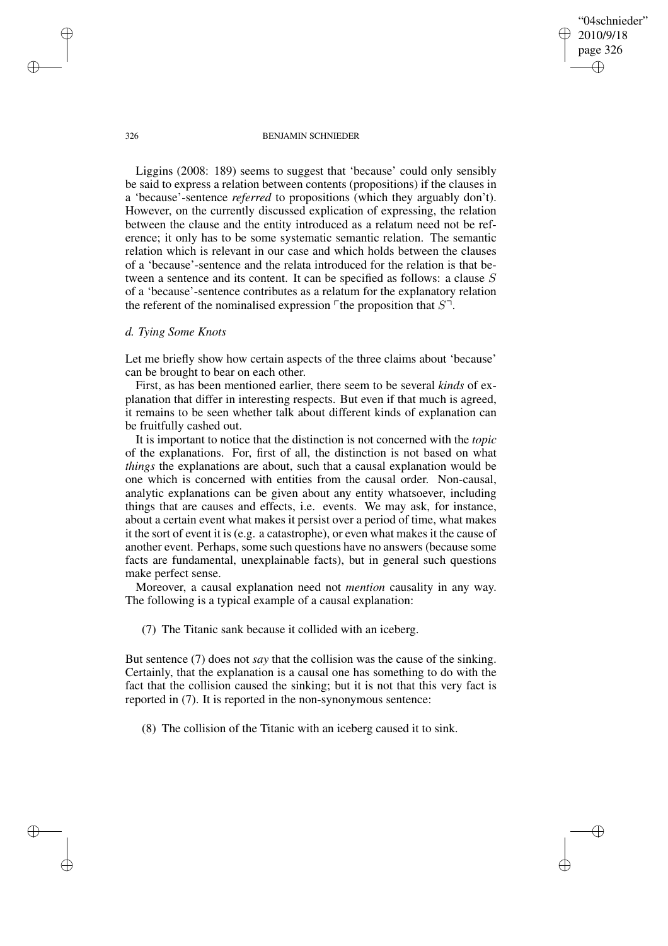"04schnieder" 2010/9/18 page 326 ✐ ✐

✐

✐

326 BENJAMIN SCHNIEDER

Liggins (2008: 189) seems to suggest that 'because' could only sensibly be said to express a relation between contents (propositions) if the clauses in a 'because'-sentence *referred* to propositions (which they arguably don't). However, on the currently discussed explication of expressing, the relation between the clause and the entity introduced as a relatum need not be reference; it only has to be some systematic semantic relation. The semantic relation which is relevant in our case and which holds between the clauses of a 'because'-sentence and the relata introduced for the relation is that between a sentence and its content. It can be specified as follows: a clause S of a 'because'-sentence contributes as a relatum for the explanatory relation the referent of the nominalised expression  $\ulcorner$  the proposition that  $S\urcorner$ .

## *d. Tying Some Knots*

Let me briefly show how certain aspects of the three claims about 'because' can be brought to bear on each other.

First, as has been mentioned earlier, there seem to be several *kinds* of explanation that differ in interesting respects. But even if that much is agreed, it remains to be seen whether talk about different kinds of explanation can be fruitfully cashed out.

It is important to notice that the distinction is not concerned with the *topic* of the explanations. For, first of all, the distinction is not based on what *things* the explanations are about, such that a causal explanation would be one which is concerned with entities from the causal order. Non-causal, analytic explanations can be given about any entity whatsoever, including things that are causes and effects, i.e. events. We may ask, for instance, about a certain event what makes it persist over a period of time, what makes it the sort of event it is (e.g. a catastrophe), or even what makes it the cause of another event. Perhaps, some such questions have no answers (because some facts are fundamental, unexplainable facts), but in general such questions make perfect sense.

Moreover, a causal explanation need not *mention* causality in any way. The following is a typical example of a causal explanation:

(7) The Titanic sank because it collided with an iceberg.

But sentence (7) does not *say* that the collision was the cause of the sinking. Certainly, that the explanation is a causal one has something to do with the fact that the collision caused the sinking; but it is not that this very fact is reported in (7). It is reported in the non-synonymous sentence:

(8) The collision of the Titanic with an iceberg caused it to sink.

✐

✐

✐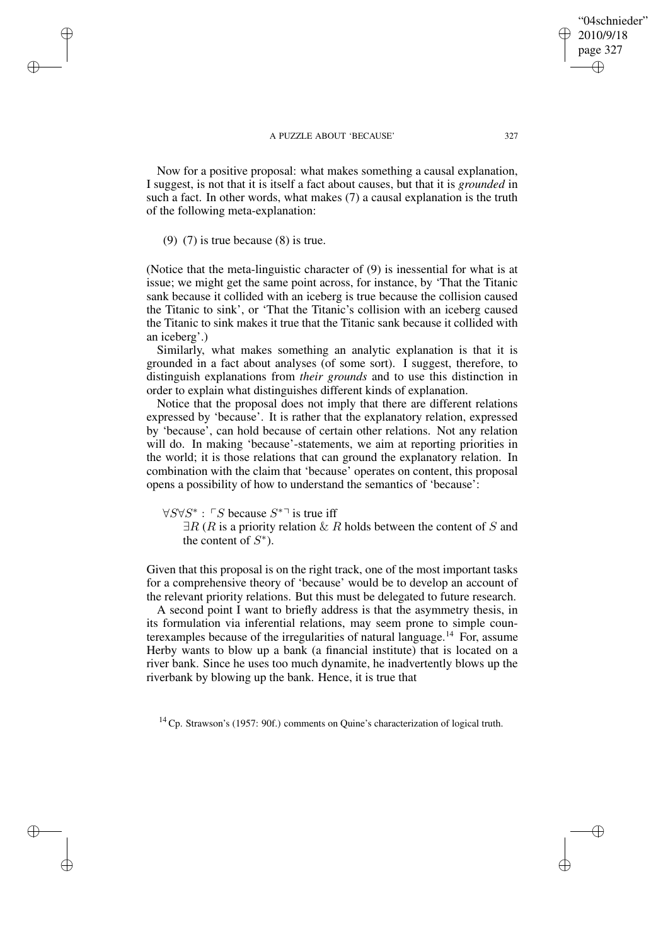Now for a positive proposal: what makes something a causal explanation, I suggest, is not that it is itself a fact about causes, but that it is *grounded* in such a fact. In other words, what makes (7) a causal explanation is the truth of the following meta-explanation:

(9) (7) is true because (8) is true.

✐

✐

✐

✐

(Notice that the meta-linguistic character of (9) is inessential for what is at issue; we might get the same point across, for instance, by 'That the Titanic sank because it collided with an iceberg is true because the collision caused the Titanic to sink', or 'That the Titanic's collision with an iceberg caused the Titanic to sink makes it true that the Titanic sank because it collided with an iceberg'.)

Similarly, what makes something an analytic explanation is that it is grounded in a fact about analyses (of some sort). I suggest, therefore, to distinguish explanations from *their grounds* and to use this distinction in order to explain what distinguishes different kinds of explanation.

Notice that the proposal does not imply that there are different relations expressed by 'because'. It is rather that the explanatory relation, expressed by 'because', can hold because of certain other relations. Not any relation will do. In making 'because'-statements, we aim at reporting priorities in the world; it is those relations that can ground the explanatory relation. In combination with the claim that 'because' operates on content, this proposal opens a possibility of how to understand the semantics of 'because':

 $\forall S \forall S^* : \ulcorner S$  because  $S^{*}$  is true iff

 $\exists R$  (R is a priority relation  $\& R$  holds between the content of S and the content of  $S^*$ ).

Given that this proposal is on the right track, one of the most important tasks for a comprehensive theory of 'because' would be to develop an account of the relevant priority relations. But this must be delegated to future research.

A second point I want to briefly address is that the asymmetry thesis, in its formulation via inferential relations, may seem prone to simple counterexamples because of the irregularities of natural language.<sup>14</sup> For, assume Herby wants to blow up a bank (a financial institute) that is located on a river bank. Since he uses too much dynamite, he inadvertently blows up the riverbank by blowing up the bank. Hence, it is true that

<sup>14</sup> Cp. Strawson's (1957: 90f.) comments on Quine's characterization of logical truth.

"04schnieder" 2010/9/18 page 327

✐

✐

✐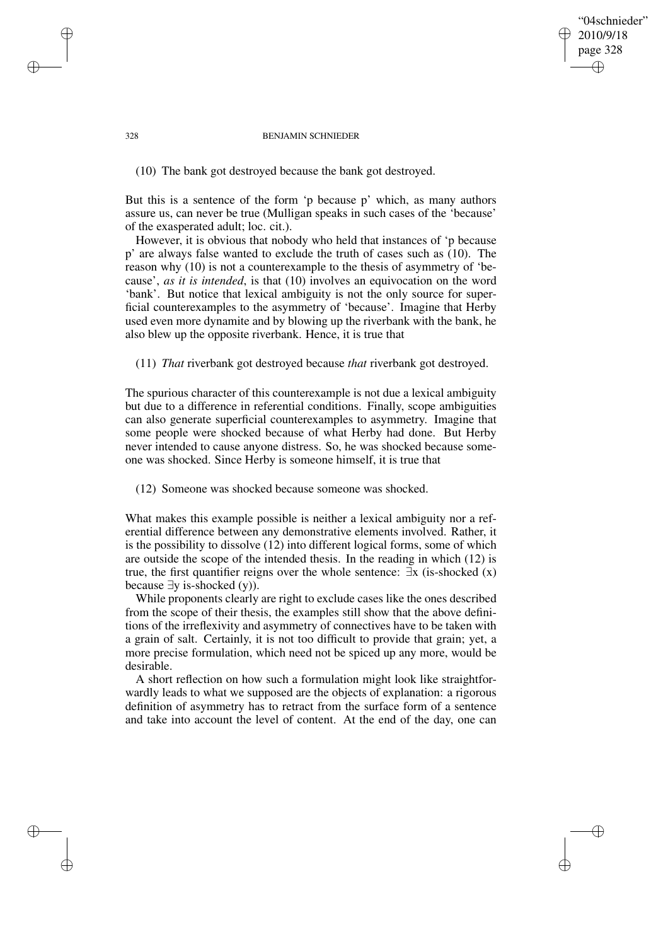## "04schnieder" 2010/9/18 page 328 ✐ ✐

✐

✐

#### 328 BENJAMIN SCHNIEDER

(10) The bank got destroyed because the bank got destroyed.

But this is a sentence of the form 'p because p' which, as many authors assure us, can never be true (Mulligan speaks in such cases of the 'because' of the exasperated adult; loc. cit.).

However, it is obvious that nobody who held that instances of 'p because p' are always false wanted to exclude the truth of cases such as (10). The reason why (10) is not a counterexample to the thesis of asymmetry of 'because', *as it is intended*, is that (10) involves an equivocation on the word 'bank'. But notice that lexical ambiguity is not the only source for superficial counterexamples to the asymmetry of 'because'. Imagine that Herby used even more dynamite and by blowing up the riverbank with the bank, he also blew up the opposite riverbank. Hence, it is true that

(11) *That* riverbank got destroyed because *that* riverbank got destroyed.

The spurious character of this counterexample is not due a lexical ambiguity but due to a difference in referential conditions. Finally, scope ambiguities can also generate superficial counterexamples to asymmetry. Imagine that some people were shocked because of what Herby had done. But Herby never intended to cause anyone distress. So, he was shocked because someone was shocked. Since Herby is someone himself, it is true that

(12) Someone was shocked because someone was shocked.

What makes this example possible is neither a lexical ambiguity nor a referential difference between any demonstrative elements involved. Rather, it is the possibility to dissolve (12) into different logical forms, some of which are outside the scope of the intended thesis. In the reading in which (12) is true, the first quantifier reigns over the whole sentence:  $\exists x$  (is-shocked  $(x)$ ) because  $\exists y$  is-shocked (y)).

While proponents clearly are right to exclude cases like the ones described from the scope of their thesis, the examples still show that the above definitions of the irreflexivity and asymmetry of connectives have to be taken with a grain of salt. Certainly, it is not too difficult to provide that grain; yet, a more precise formulation, which need not be spiced up any more, would be desirable.

A short reflection on how such a formulation might look like straightforwardly leads to what we supposed are the objects of explanation: a rigorous definition of asymmetry has to retract from the surface form of a sentence and take into account the level of content. At the end of the day, one can

✐

✐

✐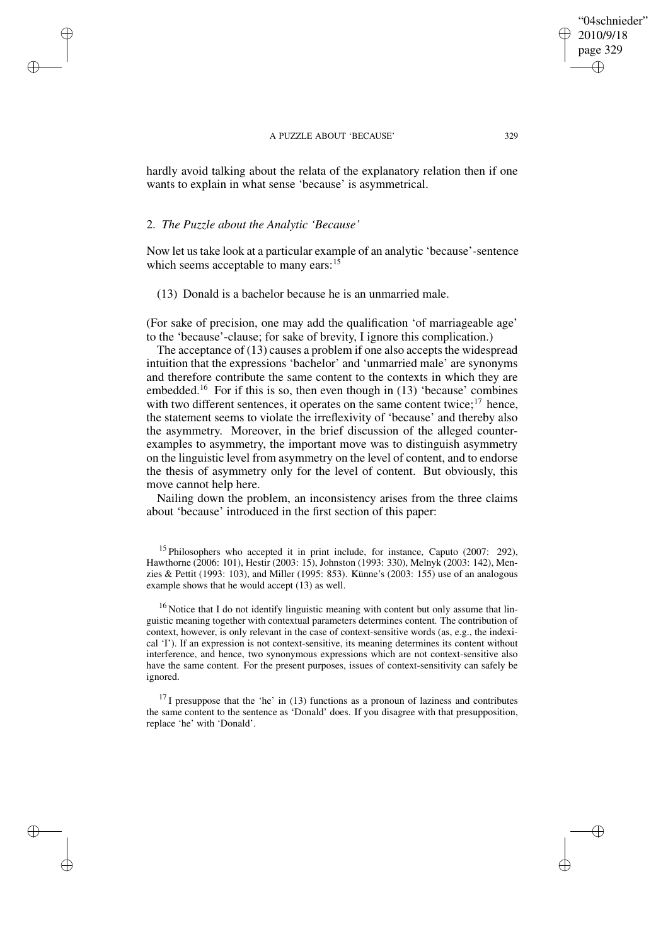hardly avoid talking about the relata of the explanatory relation then if one wants to explain in what sense 'because' is asymmetrical.

## 2. *The Puzzle about the Analytic 'Because'*

✐

✐

✐

✐

Now let us take look at a particular example of an analytic 'because'-sentence which seems acceptable to many ears:<sup>15</sup>

(13) Donald is a bachelor because he is an unmarried male.

(For sake of precision, one may add the qualification 'of marriageable age' to the 'because'-clause; for sake of brevity, I ignore this complication.)

The acceptance of  $(13)$  causes a problem if one also accepts the widespread intuition that the expressions 'bachelor' and 'unmarried male' are synonyms and therefore contribute the same content to the contexts in which they are embedded.<sup>16</sup> For if this is so, then even though in  $(13)$  'because' combines with two different sentences, it operates on the same content twice; $17$  hence, the statement seems to violate the irreflexivity of 'because' and thereby also the asymmetry. Moreover, in the brief discussion of the alleged counterexamples to asymmetry, the important move was to distinguish asymmetry on the linguistic level from asymmetry on the level of content, and to endorse the thesis of asymmetry only for the level of content. But obviously, this move cannot help here.

Nailing down the problem, an inconsistency arises from the three claims about 'because' introduced in the first section of this paper:

<sup>15</sup> Philosophers who accepted it in print include, for instance, Caputo (2007: 292), Hawthorne (2006: 101), Hestir (2003: 15), Johnston (1993: 330), Melnyk (2003: 142), Menzies & Pettit (1993: 103), and Miller (1995: 853). Künne's (2003: 155) use of an analogous example shows that he would accept (13) as well.

<sup>16</sup> Notice that I do not identify linguistic meaning with content but only assume that linguistic meaning together with contextual parameters determines content. The contribution of context, however, is only relevant in the case of context-sensitive words (as, e.g., the indexical 'I'). If an expression is not context-sensitive, its meaning determines its content without interference, and hence, two synonymous expressions which are not context-sensitive also have the same content. For the present purposes, issues of context-sensitivity can safely be ignored.

 $^{17}$ I presuppose that the 'he' in (13) functions as a pronoun of laziness and contributes the same content to the sentence as 'Donald' does. If you disagree with that presupposition, replace 'he' with 'Donald'.

"04schnieder" 2010/9/18 page 329

✐

✐

✐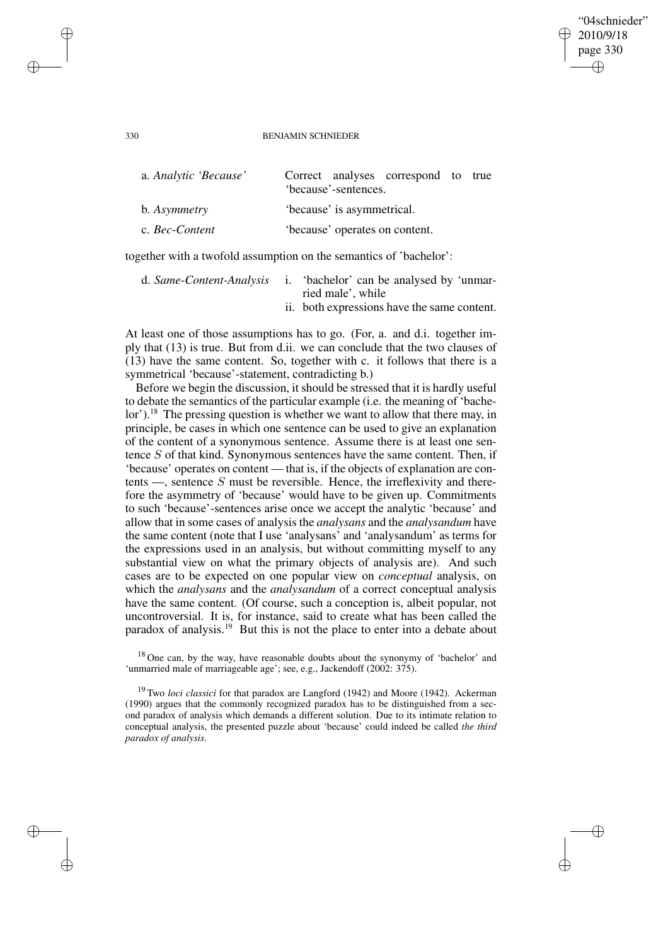#### 330 BENJAMIN SCHNIEDER

"04schnieder" 2010/9/18 page 330

✐

✐

✐

✐

| Correct analyses correspond to true<br>'because'-sentences. |
|-------------------------------------------------------------|
| 'because' is asymmetrical.                                  |
| 'because' operates on content.                              |
|                                                             |

together with a twofold assumption on the semantics of 'bachelor':

|  | d. Same-Content-Analysis i. 'bachelor' can be analysed by 'unmar- |
|--|-------------------------------------------------------------------|
|  | ried male', while                                                 |
|  | ii. both expressions have the same content.                       |

At least one of those assumptions has to go. (For, a. and d.i. together imply that (13) is true. But from d.ii. we can conclude that the two clauses of (13) have the same content. So, together with c. it follows that there is a symmetrical 'because'-statement, contradicting b.)

Before we begin the discussion, it should be stressed that it is hardly useful to debate the semantics of the particular example (i.e. the meaning of 'bachelor').<sup>18</sup> The pressing question is whether we want to allow that there may, in principle, be cases in which one sentence can be used to give an explanation of the content of a synonymous sentence. Assume there is at least one sentence S of that kind. Synonymous sentences have the same content. Then, if 'because' operates on content — that is, if the objects of explanation are contents  $\overline{\phantom{a}}$ , sentence S must be reversible. Hence, the irreflexivity and therefore the asymmetry of 'because' would have to be given up. Commitments to such 'because'-sentences arise once we accept the analytic 'because' and allow that in some cases of analysis the *analysans* and the *analysandum* have the same content (note that I use 'analysans' and 'analysandum' as terms for the expressions used in an analysis, but without committing myself to any substantial view on what the primary objects of analysis are). And such cases are to be expected on one popular view on *conceptual* analysis, on which the *analysans* and the *analysandum* of a correct conceptual analysis have the same content. (Of course, such a conception is, albeit popular, not uncontroversial. It is, for instance, said to create what has been called the paradox of analysis.<sup>19</sup> But this is not the place to enter into a debate about

✐

✐

✐

<sup>&</sup>lt;sup>18</sup> One can, by the way, have reasonable doubts about the synonymy of 'bachelor' and 'unmarried male of marriageable age'; see, e.g., Jackendoff (2002: 375).

<sup>19</sup> Two *loci classici* for that paradox are Langford (1942) and Moore (1942). Ackerman (1990) argues that the commonly recognized paradox has to be distinguished from a second paradox of analysis which demands a different solution. Due to its intimate relation to conceptual analysis, the presented puzzle about 'because' could indeed be called *the third paradox of analysis*.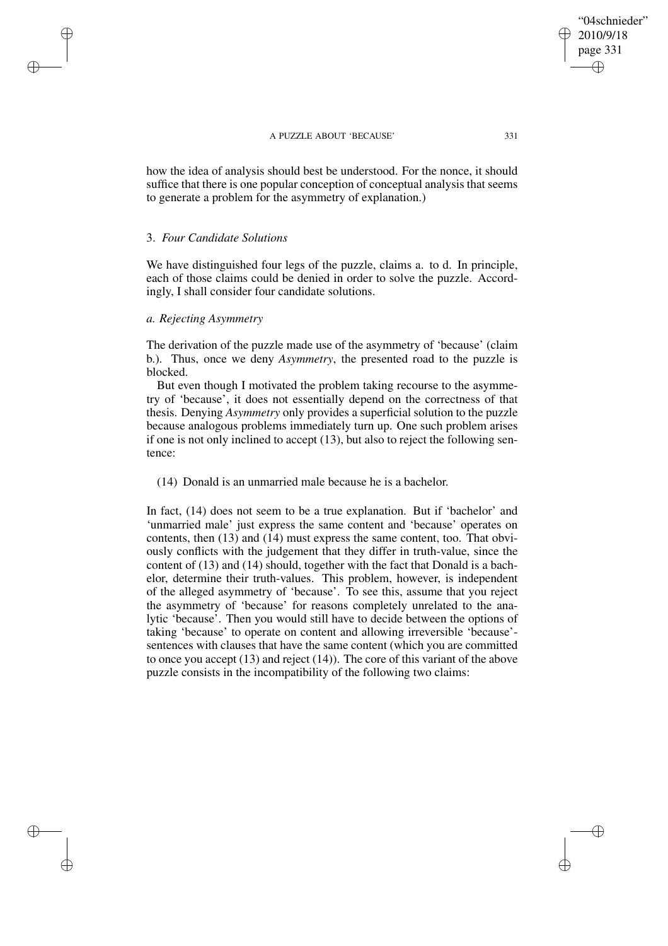how the idea of analysis should best be understood. For the nonce, it should suffice that there is one popular conception of conceptual analysis that seems to generate a problem for the asymmetry of explanation.)

## 3. *Four Candidate Solutions*

✐

✐

✐

✐

We have distinguished four legs of the puzzle, claims a. to d. In principle, each of those claims could be denied in order to solve the puzzle. Accordingly, I shall consider four candidate solutions.

## *a. Rejecting Asymmetry*

The derivation of the puzzle made use of the asymmetry of 'because' (claim b.). Thus, once we deny *Asymmetry*, the presented road to the puzzle is blocked.

But even though I motivated the problem taking recourse to the asymmetry of 'because', it does not essentially depend on the correctness of that thesis. Denying *Asymmetry* only provides a superficial solution to the puzzle because analogous problems immediately turn up. One such problem arises if one is not only inclined to accept (13), but also to reject the following sentence:

(14) Donald is an unmarried male because he is a bachelor.

In fact, (14) does not seem to be a true explanation. But if 'bachelor' and 'unmarried male' just express the same content and 'because' operates on contents, then (13) and (14) must express the same content, too. That obviously conflicts with the judgement that they differ in truth-value, since the content of (13) and (14) should, together with the fact that Donald is a bachelor, determine their truth-values. This problem, however, is independent of the alleged asymmetry of 'because'. To see this, assume that you reject the asymmetry of 'because' for reasons completely unrelated to the analytic 'because'. Then you would still have to decide between the options of taking 'because' to operate on content and allowing irreversible 'because' sentences with clauses that have the same content (which you are committed to once you accept (13) and reject (14)). The core of this variant of the above puzzle consists in the incompatibility of the following two claims:

"04schnieder" 2010/9/18 page 331

✐

✐

✐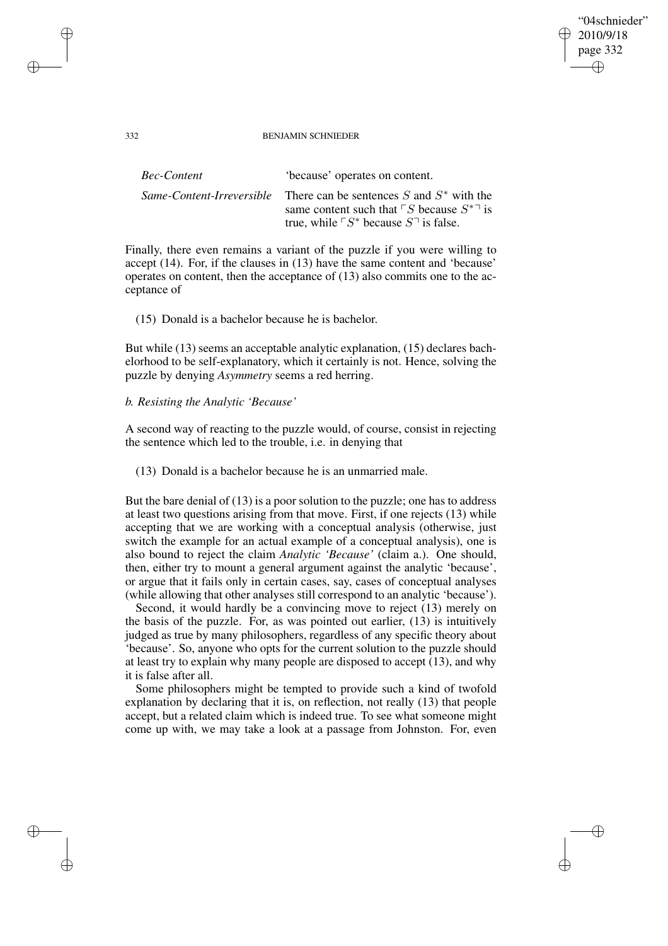## "04schnieder" 2010/9/18 page 332 ✐ ✐

✐

✐

#### 332 BENJAMIN SCHNIEDER

| Bec-Content | 'because' operates on content.                                                                                                                                                                        |
|-------------|-------------------------------------------------------------------------------------------------------------------------------------------------------------------------------------------------------|
|             | <i>Same-Content-Irreversible</i> There can be sentences S and $S^*$ with the<br>same content such that $\ulcorner S$ because $S^{*}$ is<br>true, while $\ulcorner S^*$ because $S^{\rceil}$ is false. |

Finally, there even remains a variant of the puzzle if you were willing to accept (14). For, if the clauses in (13) have the same content and 'because' operates on content, then the acceptance of (13) also commits one to the acceptance of

## (15) Donald is a bachelor because he is bachelor.

But while (13) seems an acceptable analytic explanation, (15) declares bachelorhood to be self-explanatory, which it certainly is not. Hence, solving the puzzle by denying *Asymmetry* seems a red herring.

## *b. Resisting the Analytic 'Because'*

A second way of reacting to the puzzle would, of course, consist in rejecting the sentence which led to the trouble, i.e. in denying that

(13) Donald is a bachelor because he is an unmarried male.

But the bare denial of (13) is a poor solution to the puzzle; one has to address at least two questions arising from that move. First, if one rejects (13) while accepting that we are working with a conceptual analysis (otherwise, just switch the example for an actual example of a conceptual analysis), one is also bound to reject the claim *Analytic 'Because'* (claim a.). One should, then, either try to mount a general argument against the analytic 'because', or argue that it fails only in certain cases, say, cases of conceptual analyses (while allowing that other analyses still correspond to an analytic 'because').

Second, it would hardly be a convincing move to reject (13) merely on the basis of the puzzle. For, as was pointed out earlier, (13) is intuitively judged as true by many philosophers, regardless of any specific theory about 'because'. So, anyone who opts for the current solution to the puzzle should at least try to explain why many people are disposed to accept (13), and why it is false after all.

Some philosophers might be tempted to provide such a kind of twofold explanation by declaring that it is, on reflection, not really (13) that people accept, but a related claim which is indeed true. To see what someone might come up with, we may take a look at a passage from Johnston. For, even

✐

✐

✐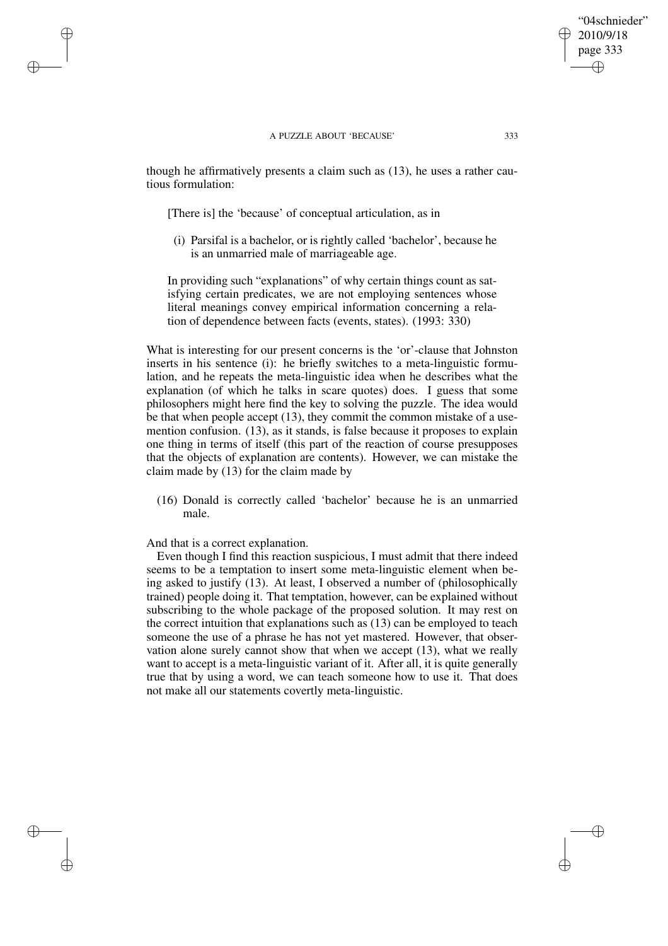though he affirmatively presents a claim such as (13), he uses a rather cautious formulation:

[There is] the 'because' of conceptual articulation, as in

(i) Parsifal is a bachelor, or is rightly called 'bachelor', because he is an unmarried male of marriageable age.

In providing such "explanations" of why certain things count as satisfying certain predicates, we are not employing sentences whose literal meanings convey empirical information concerning a relation of dependence between facts (events, states). (1993: 330)

What is interesting for our present concerns is the 'or'-clause that Johnston inserts in his sentence (i): he briefly switches to a meta-linguistic formulation, and he repeats the meta-linguistic idea when he describes what the explanation (of which he talks in scare quotes) does. I guess that some philosophers might here find the key to solving the puzzle. The idea would be that when people accept (13), they commit the common mistake of a usemention confusion. (13), as it stands, is false because it proposes to explain one thing in terms of itself (this part of the reaction of course presupposes that the objects of explanation are contents). However, we can mistake the claim made by (13) for the claim made by

(16) Donald is correctly called 'bachelor' because he is an unmarried male.

And that is a correct explanation.

✐

✐

✐

✐

Even though I find this reaction suspicious, I must admit that there indeed seems to be a temptation to insert some meta-linguistic element when being asked to justify (13). At least, I observed a number of (philosophically trained) people doing it. That temptation, however, can be explained without subscribing to the whole package of the proposed solution. It may rest on the correct intuition that explanations such as (13) can be employed to teach someone the use of a phrase he has not yet mastered. However, that observation alone surely cannot show that when we accept (13), what we really want to accept is a meta-linguistic variant of it. After all, it is quite generally true that by using a word, we can teach someone how to use it. That does not make all our statements covertly meta-linguistic.

"04schnieder" 2010/9/18 page 333

✐

✐

✐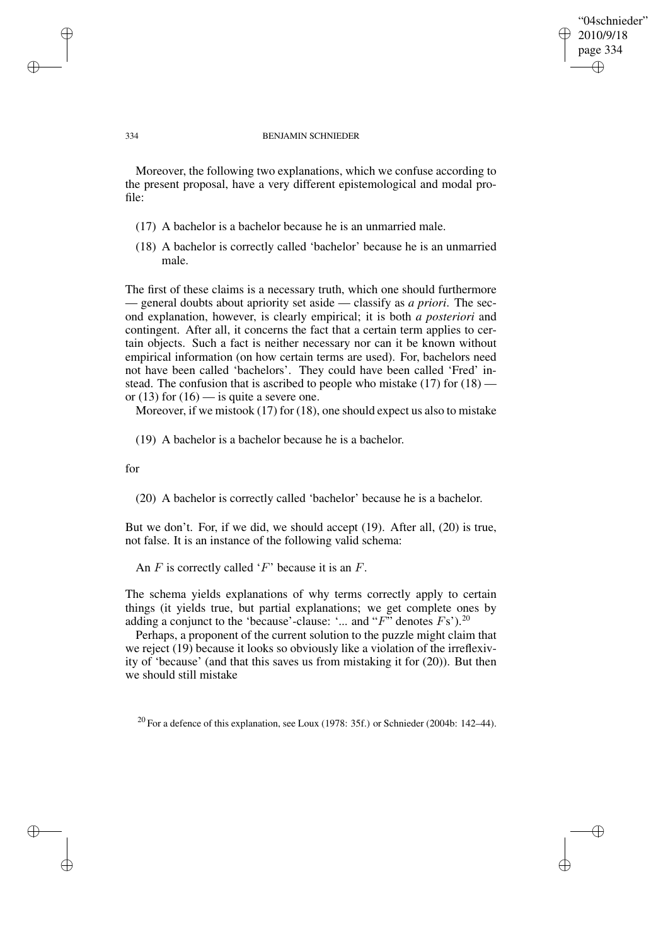## "04schnieder" 2010/9/18 page 334 ✐ ✐

✐

✐

#### 334 BENJAMIN SCHNIEDER

Moreover, the following two explanations, which we confuse according to the present proposal, have a very different epistemological and modal profile:

- (17) A bachelor is a bachelor because he is an unmarried male.
- (18) A bachelor is correctly called 'bachelor' because he is an unmarried male.

The first of these claims is a necessary truth, which one should furthermore — general doubts about apriority set aside — classify as *a priori*. The second explanation, however, is clearly empirical; it is both *a posteriori* and contingent. After all, it concerns the fact that a certain term applies to certain objects. Such a fact is neither necessary nor can it be known without empirical information (on how certain terms are used). For, bachelors need not have been called 'bachelors'. They could have been called 'Fred' instead. The confusion that is ascribed to people who mistake  $(17)$  for  $(18)$  or (13) for (16) — is quite a severe one.

Moreover, if we mistook (17) for (18), one should expect us also to mistake

(19) A bachelor is a bachelor because he is a bachelor.

for

(20) A bachelor is correctly called 'bachelor' because he is a bachelor.

But we don't. For, if we did, we should accept (19). After all, (20) is true, not false. It is an instance of the following valid schema:

An  $F$  is correctly called ' $F$ ' because it is an  $F$ .

The schema yields explanations of why terms correctly apply to certain things (it yields true, but partial explanations; we get complete ones by adding a conjunct to the 'because'-clause: '... and " $F$ " denotes  $Fs$ ").<sup>20</sup>

Perhaps, a proponent of the current solution to the puzzle might claim that we reject (19) because it looks so obviously like a violation of the irreflexivity of 'because' (and that this saves us from mistaking it for (20)). But then we should still mistake

 $20$  For a defence of this explanation, see Loux (1978: 35f.) or Schnieder (2004b: 142–44).

✐

✐

✐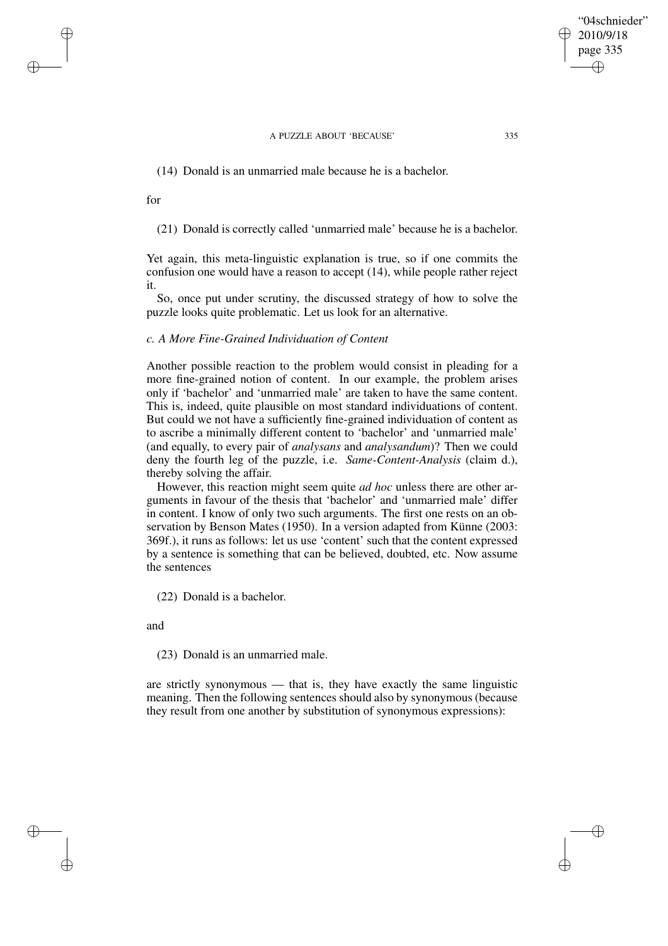(14) Donald is an unmarried male because he is a bachelor.

for

✐

✐

✐

✐

(21) Donald is correctly called 'unmarried male' because he is a bachelor.

Yet again, this meta-linguistic explanation is true, so if one commits the confusion one would have a reason to accept (14), while people rather reject it.

So, once put under scrutiny, the discussed strategy of how to solve the puzzle looks quite problematic. Let us look for an alternative.

# *c. A More Fine-Grained Individuation of Content*

Another possible reaction to the problem would consist in pleading for a more fine-grained notion of content. In our example, the problem arises only if 'bachelor' and 'unmarried male' are taken to have the same content. This is, indeed, quite plausible on most standard individuations of content. But could we not have a sufficiently fine-grained individuation of content as to ascribe a minimally different content to 'bachelor' and 'unmarried male' (and equally, to every pair of *analysans* and *analysandum*)? Then we could deny the fourth leg of the puzzle, i.e. *Same-Content-Analysis* (claim d.), thereby solving the affair.

However, this reaction might seem quite *ad hoc* unless there are other arguments in favour of the thesis that 'bachelor' and 'unmarried male' differ in content. I know of only two such arguments. The first one rests on an observation by Benson Mates (1950). In a version adapted from Künne (2003: 369f.), it runs as follows: let us use 'content' such that the content expressed by a sentence is something that can be believed, doubted, etc. Now assume the sentences

(22) Donald is a bachelor.

and

(23) Donald is an unmarried male.

are strictly synonymous — that is, they have exactly the same linguistic meaning. Then the following sentences should also by synonymous (because they result from one another by substitution of synonymous expressions):

"04schnieder" 2010/9/18 page 335

✐

✐

✐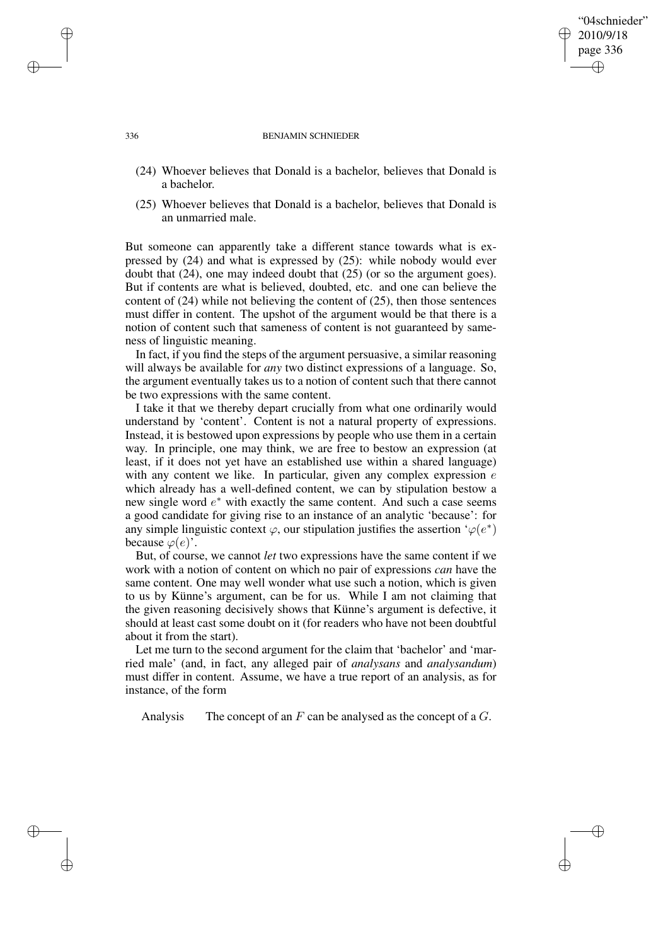"04schnieder" 2010/9/18 page 336

✐

✐

✐

✐

- (24) Whoever believes that Donald is a bachelor, believes that Donald is a bachelor.
- (25) Whoever believes that Donald is a bachelor, believes that Donald is an unmarried male.

But someone can apparently take a different stance towards what is expressed by (24) and what is expressed by (25): while nobody would ever doubt that (24), one may indeed doubt that (25) (or so the argument goes). But if contents are what is believed, doubted, etc. and one can believe the content of (24) while not believing the content of (25), then those sentences must differ in content. The upshot of the argument would be that there is a notion of content such that sameness of content is not guaranteed by sameness of linguistic meaning.

In fact, if you find the steps of the argument persuasive, a similar reasoning will always be available for *any* two distinct expressions of a language. So, the argument eventually takes us to a notion of content such that there cannot be two expressions with the same content.

I take it that we thereby depart crucially from what one ordinarily would understand by 'content'. Content is not a natural property of expressions. Instead, it is bestowed upon expressions by people who use them in a certain way. In principle, one may think, we are free to bestow an expression (at least, if it does not yet have an established use within a shared language) with any content we like. In particular, given any complex expression  $e$ which already has a well-defined content, we can by stipulation bestow a new single word  $e^*$  with exactly the same content. And such a case seems a good candidate for giving rise to an instance of an analytic 'because': for any simple linguistic context  $\varphi$ , our stipulation justifies the assertion ' $\varphi(e^*)$ because  $\varphi(e)$ .

But, of course, we cannot *let* two expressions have the same content if we work with a notion of content on which no pair of expressions *can* have the same content. One may well wonder what use such a notion, which is given to us by Künne's argument, can be for us. While I am not claiming that the given reasoning decisively shows that Künne's argument is defective, it should at least cast some doubt on it (for readers who have not been doubtful about it from the start).

Let me turn to the second argument for the claim that 'bachelor' and 'married male' (and, in fact, any alleged pair of *analysans* and *analysandum*) must differ in content. Assume, we have a true report of an analysis, as for instance, of the form

Analysis The concept of an  $F$  can be analysed as the concept of a  $G$ .

336 BENJAMIN SCHNIEDER

✐

✐

✐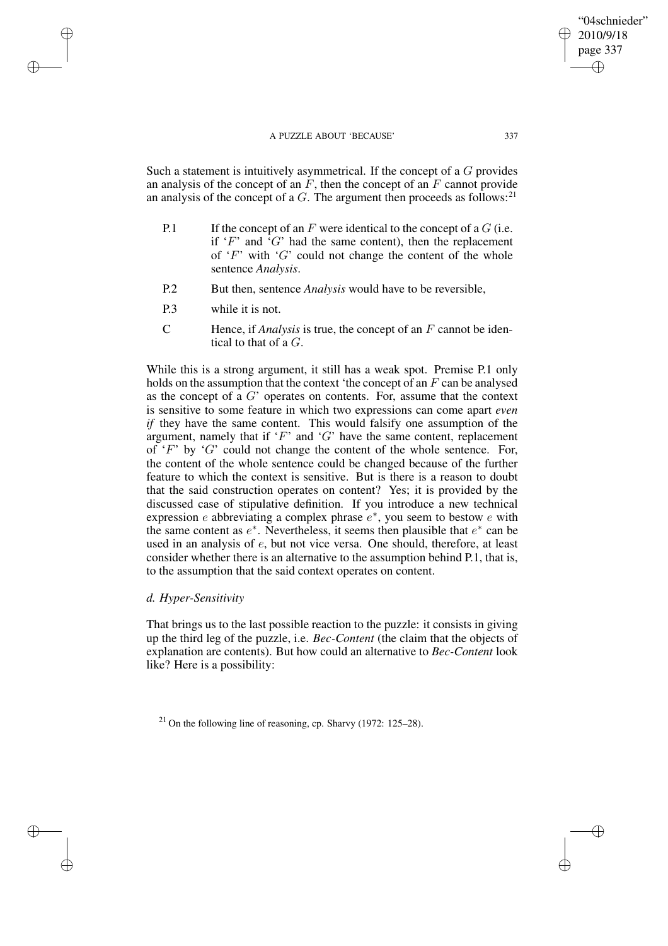Such a statement is intuitively asymmetrical. If the concept of a G provides an analysis of the concept of an  $\overline{F}$ , then the concept of an  $\overline{F}$  cannot provide an analysis of the concept of a  $G$ . The argument then proceeds as follows:<sup>21</sup>

- P.1 If the concept of an  $F$  were identical to the concept of a  $G$  (i.e. if  $F'$  and  $G'$  had the same content), then the replacement of  $F'$  with  $G'$  could not change the content of the whole sentence *Analysis*.
- P.2 But then, sentence *Analysis* would have to be reversible,
- P.3 while it is not.

✐

✐

✐

✐

C Hence, if *Analysis* is true, the concept of an F cannot be identical to that of a G.

While this is a strong argument, it still has a weak spot. Premise P.1 only holds on the assumption that the context 'the concept of an  $F$  can be analysed as the concept of a  $G'$  operates on contents. For, assume that the context is sensitive to some feature in which two expressions can come apart *even if* they have the same content. This would falsify one assumption of the argument, namely that if  $F'$  and  $G'$  have the same content, replacement of  $F'$  by  $G'$  could not change the content of the whole sentence. For, the content of the whole sentence could be changed because of the further feature to which the context is sensitive. But is there is a reason to doubt that the said construction operates on content? Yes; it is provided by the discussed case of stipulative definition. If you introduce a new technical expression *e* abbreviating a complex phrase  $e^*$ , you seem to bestow *e* with the same content as  $e^*$ . Nevertheless, it seems then plausible that  $e^*$  can be used in an analysis of e, but not vice versa. One should, therefore, at least consider whether there is an alternative to the assumption behind P.1, that is, to the assumption that the said context operates on content.

# *d. Hyper-Sensitivity*

That brings us to the last possible reaction to the puzzle: it consists in giving up the third leg of the puzzle, i.e. *Bec-Content* (the claim that the objects of explanation are contents). But how could an alternative to *Bec-Content* look like? Here is a possibility:

 $21$  On the following line of reasoning, cp. Sharvy (1972: 125–28).

"04schnieder" 2010/9/18 page 337

✐

✐

✐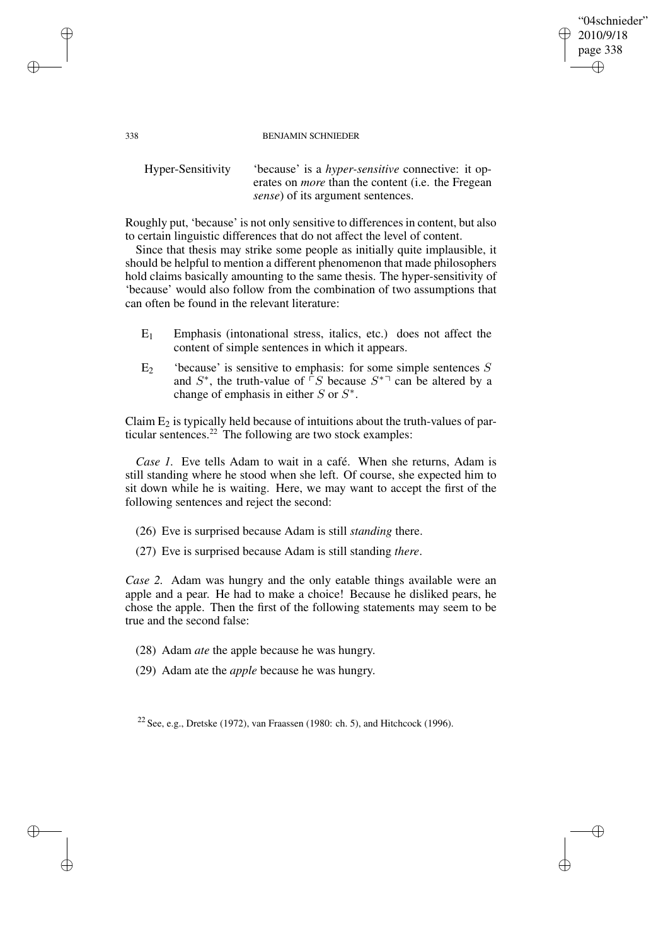#### 338 BENJAMIN SCHNIEDER

"04schnieder" 2010/9/18 page 338

✐

✐

✐

✐

Hyper-Sensitivity 'because' is a *hyper-sensitive* connective: it operates on *more* than the content (i.e. the Fregean *sense*) of its argument sentences.

Roughly put, 'because' is not only sensitive to differencesin content, but also to certain linguistic differences that do not affect the level of content.

Since that thesis may strike some people as initially quite implausible, it should be helpful to mention a different phenomenon that made philosophers hold claims basically amounting to the same thesis. The hyper-sensitivity of 'because' would also follow from the combination of two assumptions that can often be found in the relevant literature:

- $E_1$  Emphasis (intonational stress, italics, etc.) does not affect the content of simple sentences in which it appears.
- $E_2$  'because' is sensitive to emphasis: for some simple sentences S and  $S^*$ , the truth-value of  $\overline{S}$  because  $S^{*}$  can be altered by a change of emphasis in either  $S$  or  $S^*$ .

Claim  $E_2$  is typically held because of intuitions about the truth-values of particular sentences. $^{22}$  The following are two stock examples:

*Case 1.* Eve tells Adam to wait in a café. When she returns, Adam is still standing where he stood when she left. Of course, she expected him to sit down while he is waiting. Here, we may want to accept the first of the following sentences and reject the second:

- (26) Eve is surprised because Adam is still *standing* there.
- (27) Eve is surprised because Adam is still standing *there*.

*Case 2.* Adam was hungry and the only eatable things available were an apple and a pear. He had to make a choice! Because he disliked pears, he chose the apple. Then the first of the following statements may seem to be true and the second false:

- (28) Adam *ate* the apple because he was hungry.
- (29) Adam ate the *apple* because he was hungry.

<sup>22</sup> See, e.g., Dretske (1972), van Fraassen (1980: ch. 5), and Hitchcock (1996).

✐

✐

✐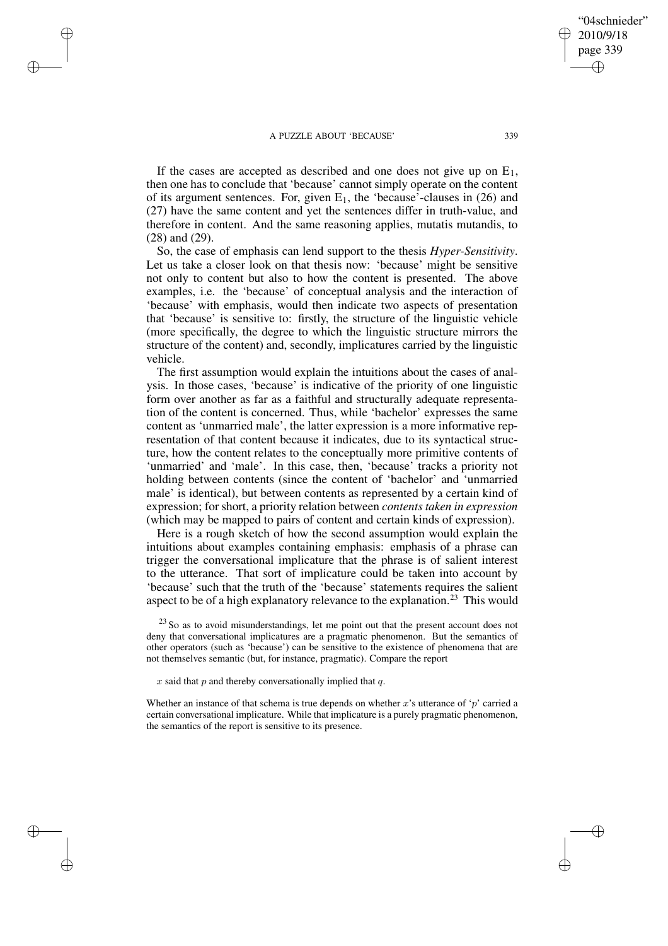✐

✐

✐

✐

If the cases are accepted as described and one does not give up on  $E_1$ , then one has to conclude that 'because' cannot simply operate on the content of its argument sentences. For, given  $E_1$ , the 'because'-clauses in (26) and (27) have the same content and yet the sentences differ in truth-value, and therefore in content. And the same reasoning applies, mutatis mutandis, to (28) and (29).

So, the case of emphasis can lend support to the thesis *Hyper-Sensitivity*. Let us take a closer look on that thesis now: 'because' might be sensitive not only to content but also to how the content is presented. The above examples, i.e. the 'because' of conceptual analysis and the interaction of 'because' with emphasis, would then indicate two aspects of presentation that 'because' is sensitive to: firstly, the structure of the linguistic vehicle (more specifically, the degree to which the linguistic structure mirrors the structure of the content) and, secondly, implicatures carried by the linguistic vehicle.

The first assumption would explain the intuitions about the cases of analysis. In those cases, 'because' is indicative of the priority of one linguistic form over another as far as a faithful and structurally adequate representation of the content is concerned. Thus, while 'bachelor' expresses the same content as 'unmarried male', the latter expression is a more informative representation of that content because it indicates, due to its syntactical structure, how the content relates to the conceptually more primitive contents of 'unmarried' and 'male'. In this case, then, 'because' tracks a priority not holding between contents (since the content of 'bachelor' and 'unmarried male' is identical), but between contents as represented by a certain kind of expression; for short, a priority relation between *contents taken in expression* (which may be mapped to pairs of content and certain kinds of expression).

Here is a rough sketch of how the second assumption would explain the intuitions about examples containing emphasis: emphasis of a phrase can trigger the conversational implicature that the phrase is of salient interest to the utterance. That sort of implicature could be taken into account by 'because' such that the truth of the 'because' statements requires the salient aspect to be of a high explanatory relevance to the explanation.<sup>23</sup> This would

 $23$  So as to avoid misunderstandings, let me point out that the present account does not deny that conversational implicatures are a pragmatic phenomenon. But the semantics of other operators (such as 'because') can be sensitive to the existence of phenomena that are not themselves semantic (but, for instance, pragmatic). Compare the report

 $x$  said that  $p$  and thereby conversationally implied that  $q$ .

Whether an instance of that schema is true depends on whether x's utterance of 'p' carried a certain conversational implicature. While that implicature is a purely pragmatic phenomenon, the semantics of the report is sensitive to its presence.

"04schnieder" 2010/9/18 page 339

✐

✐

✐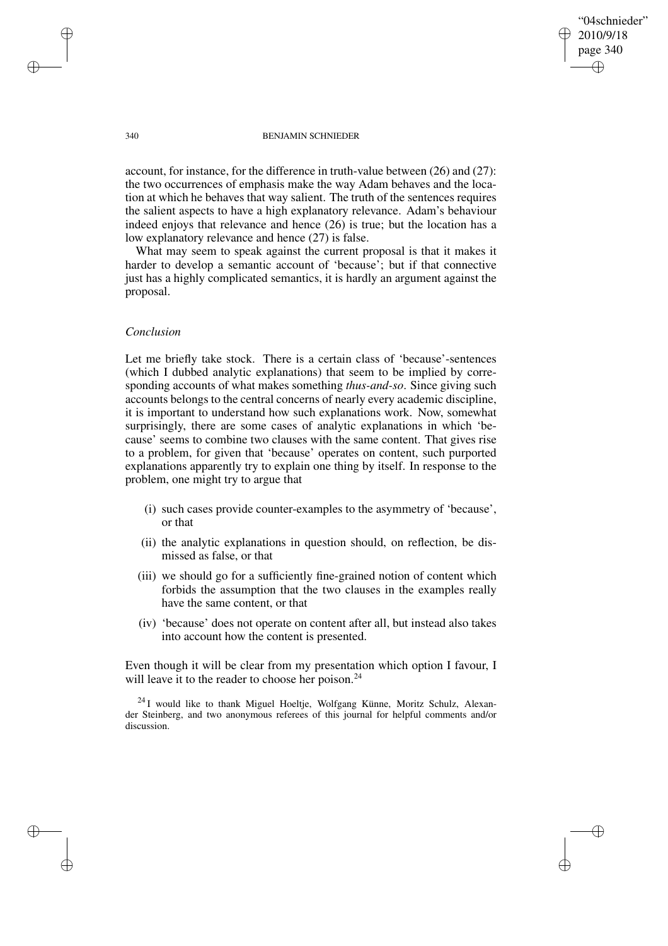"04schnieder" 2010/9/18 page 340 ✐ ✐

✐

✐

#### 340 BENJAMIN SCHNIEDER

account, for instance, for the difference in truth-value between (26) and (27): the two occurrences of emphasis make the way Adam behaves and the location at which he behaves that way salient. The truth of the sentences requires the salient aspects to have a high explanatory relevance. Adam's behaviour indeed enjoys that relevance and hence (26) is true; but the location has a low explanatory relevance and hence (27) is false.

What may seem to speak against the current proposal is that it makes it harder to develop a semantic account of 'because'; but if that connective just has a highly complicated semantics, it is hardly an argument against the proposal.

# *Conclusion*

Let me briefly take stock. There is a certain class of 'because'-sentences (which I dubbed analytic explanations) that seem to be implied by corresponding accounts of what makes something *thus-and-so*. Since giving such accounts belongs to the central concerns of nearly every academic discipline, it is important to understand how such explanations work. Now, somewhat surprisingly, there are some cases of analytic explanations in which 'because' seems to combine two clauses with the same content. That gives rise to a problem, for given that 'because' operates on content, such purported explanations apparently try to explain one thing by itself. In response to the problem, one might try to argue that

- (i) such cases provide counter-examples to the asymmetry of 'because', or that
- (ii) the analytic explanations in question should, on reflection, be dismissed as false, or that
- (iii) we should go for a sufficiently fine-grained notion of content which forbids the assumption that the two clauses in the examples really have the same content, or that
- (iv) 'because' does not operate on content after all, but instead also takes into account how the content is presented.

Even though it will be clear from my presentation which option I favour, I will leave it to the reader to choose her poison.<sup>24</sup>

 $^{24}$ I would like to thank Miguel Hoeltie, Wolfgang Künne, Moritz Schulz, Alexander Steinberg, and two anonymous referees of this journal for helpful comments and/or discussion.

✐

✐

✐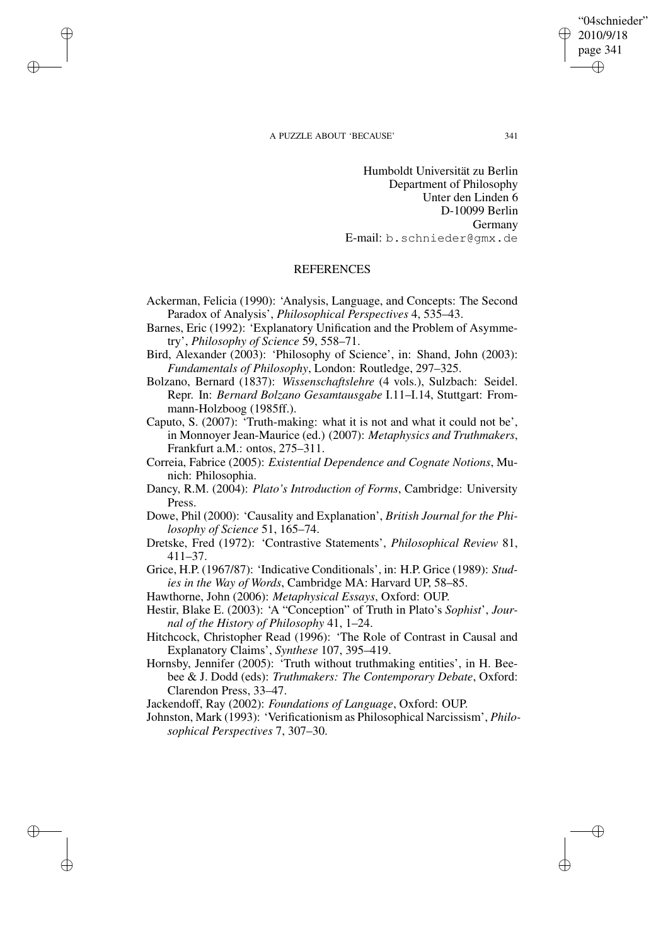✐

✐

✐

✐

Humboldt Universität zu Berlin Department of Philosophy Unter den Linden 6 D-10099 Berlin Germany E-mail: b.schnieder@gmx.de

## REFERENCES

- Ackerman, Felicia (1990): 'Analysis, Language, and Concepts: The Second Paradox of Analysis', *Philosophical Perspectives* 4, 535–43.
- Barnes, Eric (1992): 'Explanatory Unification and the Problem of Asymmetry', *Philosophy of Science* 59, 558–71.
- Bird, Alexander (2003): 'Philosophy of Science', in: Shand, John (2003): *Fundamentals of Philosophy*, London: Routledge, 297–325.
- Bolzano, Bernard (1837): *Wissenschaftslehre* (4 vols.), Sulzbach: Seidel. Repr. In: *Bernard Bolzano Gesamtausgabe* I.11–I.14, Stuttgart: Frommann-Holzboog (1985ff.).
- Caputo, S. (2007): 'Truth-making: what it is not and what it could not be', in Monnoyer Jean-Maurice (ed.) (2007): *Metaphysics and Truthmakers*, Frankfurt a.M.: ontos, 275–311.
- Correia, Fabrice (2005): *Existential Dependence and Cognate Notions*, Munich: Philosophia.
- Dancy, R.M. (2004): *Plato's Introduction of Forms*, Cambridge: University Press.
- Dowe, Phil (2000): 'Causality and Explanation', *British Journal for the Philosophy of Science* 51, 165–74.
- Dretske, Fred (1972): 'Contrastive Statements', *Philosophical Review* 81, 411–37.
- Grice, H.P. (1967/87): 'Indicative Conditionals', in: H.P. Grice (1989): *Studies in the Way of Words*, Cambridge MA: Harvard UP, 58–85.
- Hawthorne, John (2006): *Metaphysical Essays*, Oxford: OUP.
- Hestir, Blake E. (2003): 'A "Conception" of Truth in Plato's *Sophist*', *Journal of the History of Philosophy* 41, 1–24.
- Hitchcock, Christopher Read (1996): 'The Role of Contrast in Causal and Explanatory Claims', *Synthese* 107, 395–419.
- Hornsby, Jennifer (2005): 'Truth without truthmaking entities', in H. Beebee & J. Dodd (eds): *Truthmakers: The Contemporary Debate*, Oxford: Clarendon Press, 33–47.

Jackendoff, Ray (2002): *Foundations of Language*, Oxford: OUP.

Johnston, Mark (1993): 'Verificationism as Philosophical Narcissism', *Philosophical Perspectives* 7, 307–30.

"04schnieder" 2010/9/18 page 341

✐

✐

✐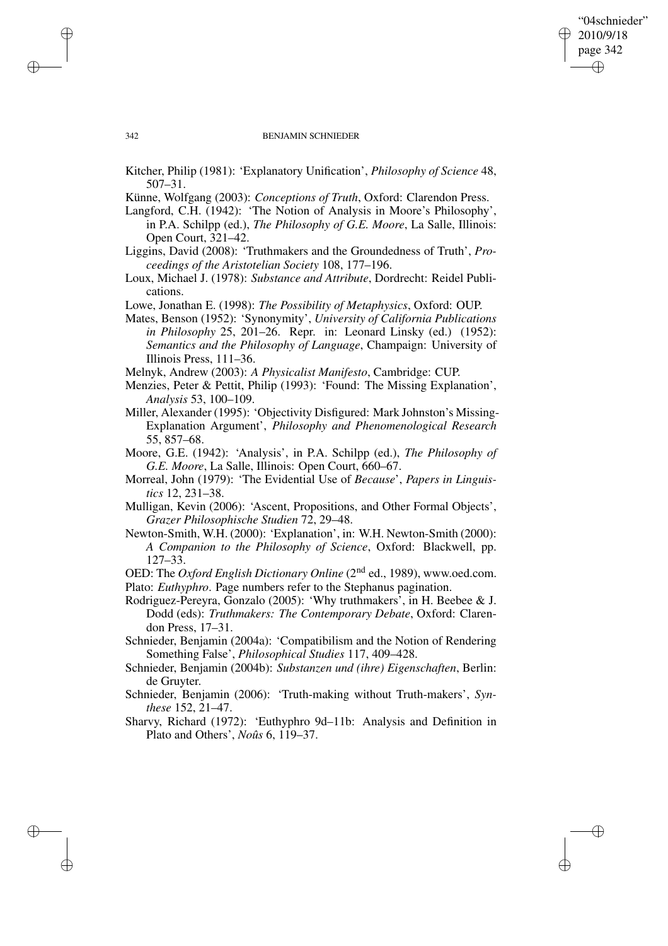✐

✐

#### 342 BENJAMIN SCHNIEDER

Kitcher, Philip (1981): 'Explanatory Unification', *Philosophy of Science* 48, 507–31.

Künne, Wolfgang (2003): *Conceptions of Truth*, Oxford: Clarendon Press.

Langford, C.H. (1942): 'The Notion of Analysis in Moore's Philosophy', in P.A. Schilpp (ed.), *The Philosophy of G.E. Moore*, La Salle, Illinois: Open Court, 321–42.

Liggins, David (2008): 'Truthmakers and the Groundedness of Truth', *Proceedings of the Aristotelian Society* 108, 177–196.

- Loux, Michael J. (1978): *Substance and Attribute*, Dordrecht: Reidel Publications.
- Lowe, Jonathan E. (1998): *The Possibility of Metaphysics*, Oxford: OUP.

Mates, Benson (1952): 'Synonymity', *University of California Publications in Philosophy* 25, 201–26. Repr. in: Leonard Linsky (ed.) (1952): *Semantics and the Philosophy of Language*, Champaign: University of Illinois Press, 111–36.

Melnyk, Andrew (2003): *A Physicalist Manifesto*, Cambridge: CUP.

- Menzies, Peter & Pettit, Philip (1993): 'Found: The Missing Explanation', *Analysis* 53, 100–109.
- Miller, Alexander (1995): 'Objectivity Disfigured: Mark Johnston's Missing-Explanation Argument', *Philosophy and Phenomenological Research* 55, 857–68.
- Moore, G.E. (1942): 'Analysis', in P.A. Schilpp (ed.), *The Philosophy of G.E. Moore*, La Salle, Illinois: Open Court, 660–67.
- Morreal, John (1979): 'The Evidential Use of *Because*', *Papers in Linguistics* 12, 231–38.
- Mulligan, Kevin (2006): 'Ascent, Propositions, and Other Formal Objects', *Grazer Philosophische Studien* 72, 29–48.
- Newton-Smith, W.H. (2000): 'Explanation', in: W.H. Newton-Smith (2000): *A Companion to the Philosophy of Science*, Oxford: Blackwell, pp. 127–33.

OED: The *Oxford English Dictionary Online* (2nd ed., 1989), www.oed.com. Plato: *Euthyphro*. Page numbers refer to the Stephanus pagination.

Rodriguez-Pereyra, Gonzalo (2005): 'Why truthmakers', in H. Beebee & J. Dodd (eds): *Truthmakers: The Contemporary Debate*, Oxford: Clarendon Press, 17–31.

Schnieder, Benjamin (2004a): 'Compatibilism and the Notion of Rendering Something False', *Philosophical Studies* 117, 409–428.

Schnieder, Benjamin (2004b): *Substanzen und (ihre) Eigenschaften*, Berlin: de Gruyter.

Schnieder, Benjamin (2006): 'Truth-making without Truth-makers', *Synthese* 152, 21–47.

Sharvy, Richard (1972): 'Euthyphro 9d–11b: Analysis and Definition in Plato and Others', *Noûs* 6, 119–37.

✐

✐

✐